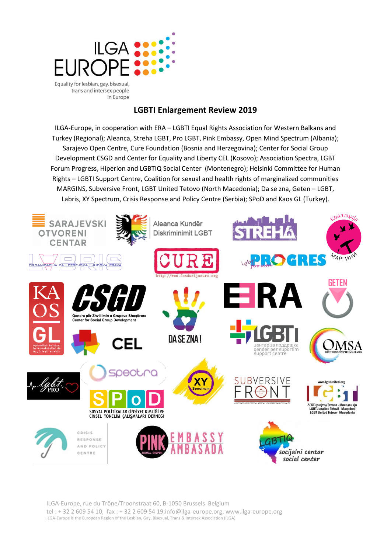

trans and intersex people in Europe

# **LGBTI Enlargement Review 2019**

ILGA-Europe, in cooperation with ERA – LGBTI Equal Rights Association for Western Balkans and Turkey (Regional); Aleanca, Streha LGBT, Pro LGBT, Pink Embassy, Open Mind Spectrum (Albania); Sarajevo Open Centre, Cure Foundation (Bosnia and Herzegovina); Center for Social Group Development CSGD and Center for Equality and Liberty CEL (Kosovo); Association Spectra, LGBT Forum Progress, Hiperion and LGBTIQ Social Center (Montenegro); Helsinki Committee for Human Rights – LGBTI Support Centre, Coalition for sexual and health rights of marginalized communities MARGINS, Subversive Front, LGBT United Tetovo (North Macedonia); Da se zna, Geten – LGBT, Labris, XY Spectrum, Crisis Response and Policy Centre (Serbia); SPoD and Kaos GL (Turkey).

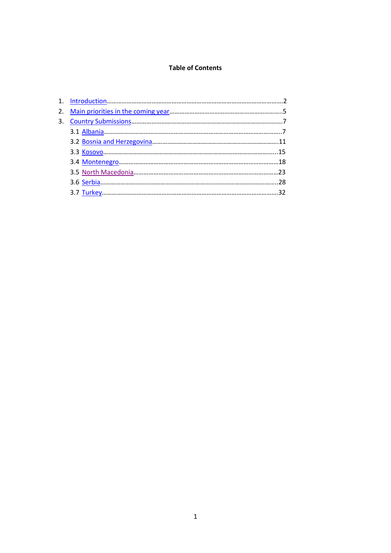### **Table of Contents**

| 2. |  |
|----|--|
| 3. |  |
|    |  |
|    |  |
|    |  |
|    |  |
|    |  |
|    |  |
|    |  |
|    |  |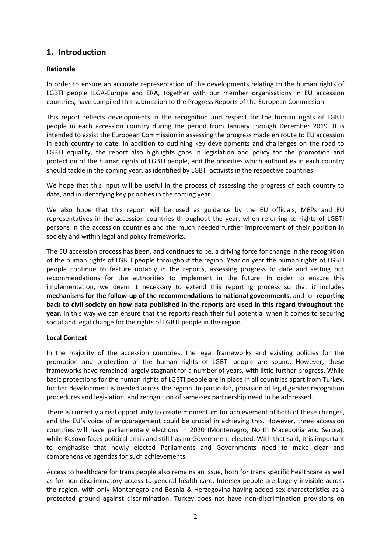# <span id="page-2-0"></span>**1. Introduction**

## **Rationale**

In order to ensure an accurate representation of the developments relating to the human rights of LGBTI people ILGA-Europe and ERA, together with our member organisations in EU accession countries, have compiled this submission to the Progress Reports of the European Commission.

This report reflects developments in the recognition and respect for the human rights of LGBTI people in each accession country during the period from January through December 2019. It is intended to assist the European Commission in assessing the progress made en route to EU accession in each country to date. In addition to outlining key developments and challenges on the road to LGBTI equality, the report also highlights gaps in legislation and policy for the promotion and protection of the human rights of LGBTI people, and the priorities which authorities in each country should tackle in the coming year, as identified by LGBTI activists in the respective countries.

We hope that this input will be useful in the process of assessing the progress of each country to date, and in identifying key priorities in the coming year.

We also hope that this report will be used as guidance by the EU officials, MEPs and EU representatives in the accession countries throughout the year, when referring to rights of LGBTI persons in the accession countries and the much needed further improvement of their position in society and within legal and policy frameworks.

The EU accession process has been, and continues to be, a driving force for change in the recognition of the human rights of LGBTI people throughout the region. Year on year the human rights of LGBTI people continue to feature notably in the reports, assessing progress to date and setting out recommendations for the authorities to implement in the future. In order to ensure this implementation, we deem it necessary to extend this reporting process so that it includes **mechanisms for the follow-up of the recommendations to national governments**, and for **reporting back to civil society on how data published in the reports are used in this regard throughout the year**. In this way we can ensure that the reports reach their full potential when it comes to securing social and legal change for the rights of LGBTI people in the region.

#### **Local Context**

In the majority of the accession countries, the legal frameworks and existing policies for the promotion and protection of the human rights of LGBTI people are sound. However, these frameworks have remained largely stagnant for a number of years, with little further progress. While basic protections for the human rights of LGBTI people are in place in all countries apart from Turkey, further development is needed across the region. In particular, provision of legal gender recognition procedures and legislation, and recognition of same-sex partnership need to be addressed.

There is currently a real opportunity to create momentum for achievement of both of these changes, and the EU's voice of encouragement could be crucial in achieving this. However, three accession countries will have parliamentary elections in 2020 (Montenegro, North Macedonia and Serbia), while Kosovo faces political crisis and still has no Government elected. With that said, it is important to emphasise that newly elected Parliaments and Governments need to make clear and comprehensive agendas for such achievements.

Access to healthcare for trans people also remains an issue, both for trans specific healthcare as well as for non-discriminatory access to general health care. Intersex people are largely invisible across the region, with only Montenegro and Bosnia & Herzegovina having added sex characteristics as a protected ground against discrimination. Turkey does not have non-discrimination provisions on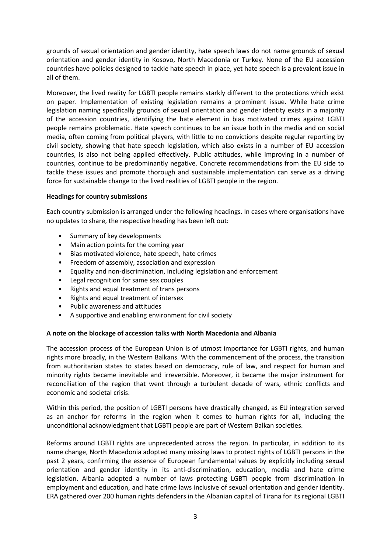grounds of sexual orientation and gender identity, hate speech laws do not name grounds of sexual orientation and gender identity in Kosovo, North Macedonia or Turkey. None of the EU accession countries have policies designed to tackle hate speech in place, yet hate speech is a prevalent issue in all of them.

Moreover, the lived reality for LGBTI people remains starkly different to the protections which exist on paper. Implementation of existing legislation remains a prominent issue. While hate crime legislation naming specifically grounds of sexual orientation and gender identity exists in a majority of the accession countries, identifying the hate element in bias motivated crimes against LGBTI people remains problematic. Hate speech continues to be an issue both in the media and on social media, often coming from political players, with little to no convictions despite regular reporting by civil society, showing that hate speech legislation, which also exists in a number of EU accession countries, is also not being applied effectively. Public attitudes, while improving in a number of countries, continue to be predominantly negative. Concrete recommendations from the EU side to tackle these issues and promote thorough and sustainable implementation can serve as a driving force for sustainable change to the lived realities of LGBTI people in the region.

#### **Headings for country submissions**

Each country submission is arranged under the following headings. In cases where organisations have no updates to share, the respective heading has been left out:

- Summary of key developments
- Main action points for the coming year
- Bias motivated violence, hate speech, hate crimes
- Freedom of assembly, association and expression
- Equality and non-discrimination, including legislation and enforcement
- Legal recognition for same sex couples
- Rights and equal treatment of trans persons
- Rights and equal treatment of intersex
- Public awareness and attitudes
- A supportive and enabling environment for civil society

#### **A note on the blockage of accession talks with North Macedonia and Albania**

The accession process of the European Union is of utmost importance for LGBTI rights, and human rights more broadly, in the Western Balkans. With the commencement of the process, the transition from authoritarian states to states based on democracy, rule of law, and respect for human and minority rights became inevitable and irreversible. Moreover, it became the major instrument for reconciliation of the region that went through a turbulent decade of wars, ethnic conflicts and economic and societal crisis.

Within this period, the position of LGBTI persons have drastically changed, as EU integration served as an anchor for reforms in the region when it comes to human rights for all, including the unconditional acknowledgment that LGBTI people are part of Western Balkan societies.

Reforms around LGBTI rights are unprecedented across the region. In particular, in addition to its name change, North Macedonia adopted many missing laws to protect rights of LGBTI persons in the past 2 years, confirming the essence of European fundamental values by explicitly including sexual orientation and gender identity in its anti-discrimination, education, media and hate crime legislation. Albania adopted a number of laws protecting LGBTI people from discrimination in employment and education, and hate crime laws inclusive of sexual orientation and gender identity. ERA gathered over 200 human rights defenders in the Albanian capital of Tirana for its regional LGBTI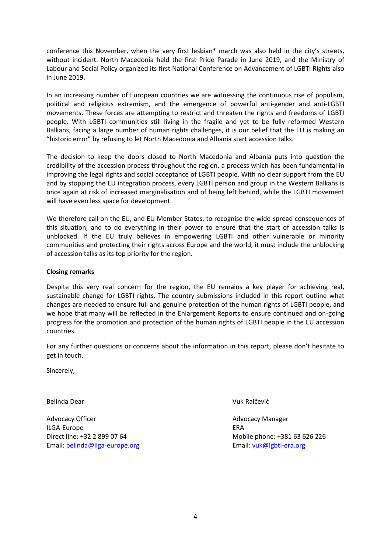conference this November, when the very first lesbian\* march was also held in the city's streets, without incident. North Macedonia held the first Pride Parade in June 2019, and the Ministry of Labour and Social Policy organized its first National Conference on Advancement of LGBTI Rights also in June 2019.

In an increasing number of European countries we are witnessing the continuous rise of populism, political and religious extremism, and the emergence of powerful anti-gender and anti-LGBTI movements. These forces are attempting to restrict and threaten the rights and freedoms of LGBTI people. With LGBTI communities still living in the fragile and yet to be fully reformed Western Balkans, facing a large number of human rights challenges, it is our belief that the EU is making an "historic error" by refusing to let North Macedonia and Albania start accession talks.

The decision to keep the doors closed to North Macedonia and Albania puts into question the credibility of the accession process throughout the region, a process which has been fundamental in improving the legal rights and social acceptance of LGBTI people. With no clear support from the EU and by stopping the EU integration process, every LGBTI person and group in the Western Balkans is once again at risk of increased marginalisation and of being left behind, while the LGBTI movement will have even less space for development.

We therefore call on the EU, and EU Member States, to recognise the wide-spread consequences of this situation, and to do everything in their power to ensure that the start of accession talks is unblocked. If the EU truly believes in empowering LGBTI and other vulnerable or minority communities and protecting their rights across Europe and the world, it must include the unblocking of accession talks as its top priority for the region.

## **Closing remarks**

Despite this very real concern for the region, the EU remains a key player for achieving real, sustainable change for LGBTI rights. The country submissions included in this report outline what changes are needed to ensure full and genuine protection of the human rights of LGBTI people, and we hope that many will be reflected in the Enlargement Reports to ensure continued and on-going progress for the promotion and protection of the human rights of LGBTI people in the EU accession countries.

For any further questions or concerns about the information in this report, please don't hesitate to get in touch.

Sincerely,

Belinda Dear Vuk Raičević

Advocacy Officer **Advocacy Officer Advocacy Manager Advocacy Manager** ILGA-Europe ERA Email: [belinda@ilga-europe.org](mailto:belinda@ilga-europe.org) entitled and the email: [vuk@lgbti-era.org](mailto:vuk@lgbti-era.org)

Direct line: +32 2 899 07 64 Mobile phone: +381 63 626 226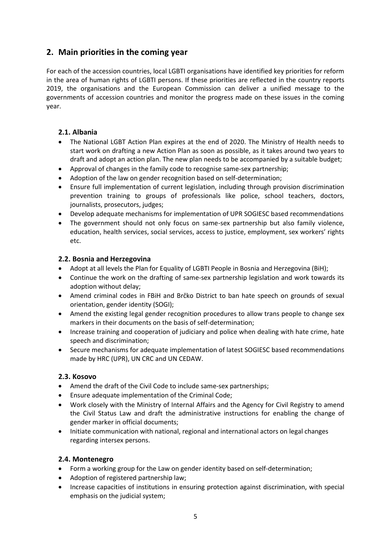# <span id="page-5-0"></span>**2. Main priorities in the coming year**

For each of the accession countries, local LGBTI organisations have identified key priorities for reform in the area of human rights of LGBTI persons. If these priorities are reflected in the country reports 2019, the organisations and the European Commission can deliver a unified message to the governments of accession countries and monitor the progress made on these issues in the coming year.

# **2.1. Albania**

- The National LGBT Action Plan expires at the end of 2020. The Ministry of Health needs to start work on drafting a new Action Plan as soon as possible, as it takes around two years to draft and adopt an action plan. The new plan needs to be accompanied by a suitable budget;
- Approval of changes in the family code to recognise same-sex partnership;
- Adoption of the law on gender recognition based on self-determination;
- Ensure full implementation of current legislation, including through provision discrimination prevention training to groups of professionals like police, school teachers, doctors, journalists, prosecutors, judges;
- Develop adequate mechanisms for implementation of UPR SOGIESC based recommendations
- The government should not only focus on same-sex partnership but also family violence, education, health services, social services, access to justice, employment, sex workers' rights etc.

# **2.2. Bosnia and Herzegovina**

- Adopt at all levels the Plan for Equality of LGBTI People in Bosnia and Herzegovina (BiH);
- Continue the work on the drafting of same-sex partnership legislation and work towards its adoption without delay;
- Amend criminal codes in FBiH and Brčko District to ban hate speech on grounds of sexual orientation, gender identity (SOGI);
- Amend the existing legal gender recognition procedures to allow trans people to change sex markers in their documents on the basis of self-determination;
- Increase training and cooperation of judiciary and police when dealing with hate crime, hate speech and discrimination;
- Secure mechanisms for adequate implementation of latest SOGIESC based recommendations made by HRC (UPR), UN CRC and UN CEDAW.

# **2.3. Kosovo**

- Amend the draft of the Civil Code to include same-sex partnerships;
- Ensure adequate implementation of the Criminal Code;
- Work closely with the Ministry of Internal Affairs and the Agency for Civil Registry to amend the Civil Status Law and draft the administrative instructions for enabling the change of gender marker in official documents;
- Initiate communication with national, regional and international actors on legal changes regarding intersex persons.

# **2.4. Montenegro**

- Form a working group for the Law on gender identity based on self-determination;
- Adoption of registered partnership law;
- Increase capacities of institutions in ensuring protection against discrimination, with special emphasis on the judicial system;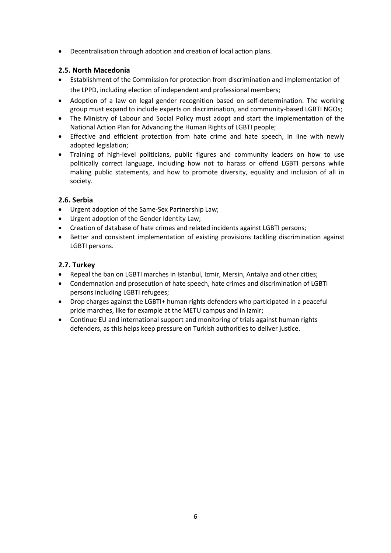Decentralisation through adoption and creation of local action plans.

# **2.5. North Macedonia**

- Establishment of the Commission for protection from discrimination and implementation of the LPPD, including election of independent and professional members;
- Adoption of a law on legal gender recognition based on self-determination. The working group must expand to include experts on discrimination, and community-based LGBTI NGOs;
- The Ministry of Labour and Social Policy must adopt and start the implementation of the National Action Plan for Advancing the Human Rights of LGBTI people;
- Effective and efficient protection from hate crime and hate speech, in line with newly adopted legislation;
- Training of high-level politicians, public figures and community leaders on how to use politically correct language, including how not to harass or offend LGBTI persons while making public statements, and how to promote diversity, equality and inclusion of all in society.

# **2.6. Serbia**

- Urgent adoption of the Same-Sex Partnership Law;
- Urgent adoption of the Gender Identity Law;
- Creation of database of hate crimes and related incidents against LGBTI persons;
- Better and consistent implementation of existing provisions tackling discrimination against LGBTI persons.

# **2.7. Turkey**

- Repeal the ban on LGBTI marches in Istanbul, Izmir, Mersin, Antalya and other cities;
- Condemnation and prosecution of hate speech, hate crimes and discrimination of LGBTI persons including LGBTI refugees;
- Drop charges against the LGBTI+ human rights defenders who participated in a peaceful pride marches, like for example at the METU campus and in Izmir;
- Continue EU and international support and monitoring of trials against human rights defenders, as this helps keep pressure on Turkish authorities to deliver justice.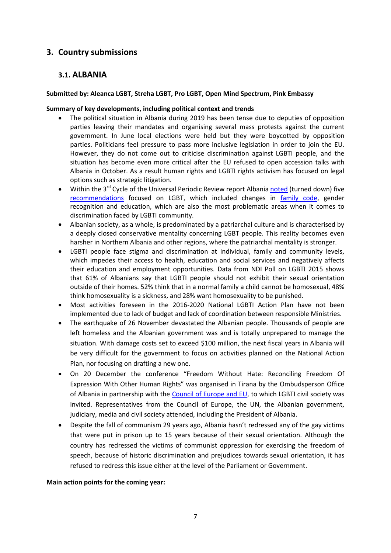# <span id="page-7-0"></span>**3. Country submissions**

# <span id="page-7-1"></span>**3.1. ALBANIA**

## **Submitted by: Aleanca LGBT, Streha LGBT, Pro LGBT, Open Mind Spectrum, Pink Embassy**

### **Summary of key developments, including political context and trends**

- The political situation in Albania during 2019 has been tense due to deputies of opposition parties leaving their mandates and organising several mass protests against the current government. In June local elections were held but they were boycotted by opposition parties. Politicians feel pressure to pass more inclusive legislation in order to join the EU. However, they do not come out to criticise discrimination against LGBTI people, and the situation has become even more critical after the EU refused to open accession talks with Albania in October. As a result human rights and LGBTI rights activism has focused on legal options such as strategic litigation.
- Within the 3<sup>rd</sup> Cycle of the Universal Periodic Review report Albania [noted](https://www.aleancalgbt.org/index.php?option=com_content&view=article&id=68:shqiperia-refuzon-5-nga-rekomandimet-e-okb-mbi-te-drejtat-lgbti&catid=8&Itemid=106&lang=al) (turned down) five [recommendations](https://www.lgbti-era.org/news/albania-receives-14-sogiesc-recommendations-within-3rd-cycle-upr) focused on LGBT, which included changes in [family code,](https://www.lgbti-era.org/news/upr-outcome-albania-no-law-same-sex-partnership) gender recognition and education, which are also the most problematic areas when it comes to discrimination faced by LGBTI community.
- Albanian society, as a whole, is predominated by a patriarchal culture and is characterised by a deeply closed conservative mentality concerning LGBT people. This reality becomes even harsher in Northern Albania and other regions, where the patriarchal mentality is stronger.
- LGBTI people face stigma and discrimination at individual, family and community levels, which impedes their access to health, education and social services and negatively affects their education and employment opportunities. Data from NDI Poll on LGBTI 2015 shows that 61% of Albanians say that LGBTI people should not exhibit their sexual orientation outside of their homes. 52% think that in a normal family a child cannot be homosexual, 48% think homosexuality is a sickness, and 28% want homosexuality to be punished.
- Most activities foreseen in the 2016-2020 National LGBTI Action Plan have not been implemented due to lack of budget and lack of coordination between responsible Ministries.
- The earthquake of 26 November devastated the Albanian people. Thousands of people are left homeless and the Albanian government was and is totally unprepared to manage the situation. With damage costs set to exceed \$100 million, the next fiscal years in Albania will be very difficult for the government to focus on activities planned on the National Action Plan, nor focusing on drafting a new one.
- On 20 December the conference "Freedom Without Hate: Reconciling Freedom Of Expression With Other Human Rights" was organised in Tirana by the Ombudsperson Office of Albania in partnership with the [Council of Europe and EU,](https://pjp-eu.coe.int/en/web/horizontal-facility/home?desktop=true) to which LGBTI civil society was invited. Representatives from the Council of Europe, the UN, the Albanian government, judiciary, media and civil society attended, including the President of Albania.
- Despite the fall of communism 29 years ago, Albania hasn't redressed any of the gay victims that were put in prison up to 15 years because of their sexual orientation. Although the country has redressed the victims of communist oppression for exercising the freedom of speech, because of historic discrimination and prejudices towards sexual orientation, it has refused to redress this issue either at the level of the Parliament or Government.

#### **Main action points for the coming year:**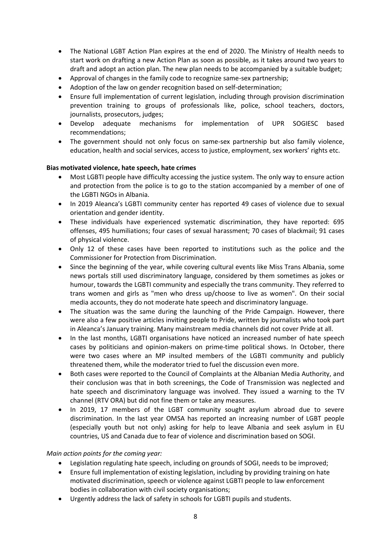- The National LGBT Action Plan expires at the end of 2020. The Ministry of Health needs to start work on drafting a new Action Plan as soon as possible, as it takes around two years to draft and adopt an action plan. The new plan needs to be accompanied by a suitable budget;
- Approval of changes in the family code to recognize same-sex partnership;
- Adoption of the law on gender recognition based on self-determination;
- Ensure full implementation of current legislation, including through provision discrimination prevention training to groups of professionals like, police, school teachers, doctors, journalists, prosecutors, judges;
- Develop adequate mechanisms for implementation of UPR SOGIESC based recommendations;
- The government should not only focus on same-sex partnership but also family violence, education, health and social services, access to justice, employment, sex workers' rights etc.

## **Bias motivated violence, hate speech, hate crimes**

- Most LGBTI people have difficulty accessing the justice system. The only way to ensure action and protection from the police is to go to the station accompanied by a member of one of the LGBTI NGOs in Albania.
- In 2019 Aleanca's LGBTI community center has reported 49 cases of violence due to sexual orientation and gender identity.
- These individuals have experienced systematic discrimination, they have reported: 695 offenses, 495 humiliations; four cases of sexual harassment; 70 cases of blackmail; 91 cases of physical violence.
- Only 12 of these cases have been reported to institutions such as the police and the Commissioner for Protection from Discrimination.
- Since the beginning of the year, while covering cultural events like Miss Trans Albania, some news portals still used discriminatory language, considered by them sometimes as jokes or humour, towards the LGBTI community and especially the trans community. They referred to trans women and girls as "men who dress up/choose to live as women". On their social media accounts, they do not moderate hate speech and discriminatory language.
- The situation was the same during the launching of the Pride Campaign. However, there were also a few positive articles inviting people to Pride, written by journalists who took part in Aleanca's January training. Many mainstream media channels did not cover Pride at all.
- In the last months, LGBTI organisations have noticed an increased number of hate speech cases by politicians and opinion-makers on prime-time political shows. In October, there were two cases where an MP insulted members of the LGBTI community and publicly threatened them, while the moderator tried to fuel the discussion even more.
- Both cases were reported to the Council of Complaints at the Albanian Media Authority, and their conclusion was that in both screenings, the Code of Transmission was neglected and hate speech and discriminatory language was involved. They issued a warning to the TV channel (RTV ORA) but did not fine them or take any measures.
- In 2019, 17 members of the LGBT community sought asylum abroad due to severe discrimination. In the last year OMSA has reported an increasing number of LGBT people (especially youth but not only) asking for help to leave Albania and seek asylum in EU countries, US and Canada due to fear of violence and discrimination based on SOGI.

#### *Main action points for the coming year:*

- Legislation regulating hate speech, including on grounds of SOGI, needs to be improved;
- Ensure full implementation of existing legislation, including by providing training on hate motivated discrimination, speech or violence against LGBTI people to law enforcement bodies in collaboration with civil society organisations;
- Urgently address the lack of safety in schools for LGBTI pupils and students.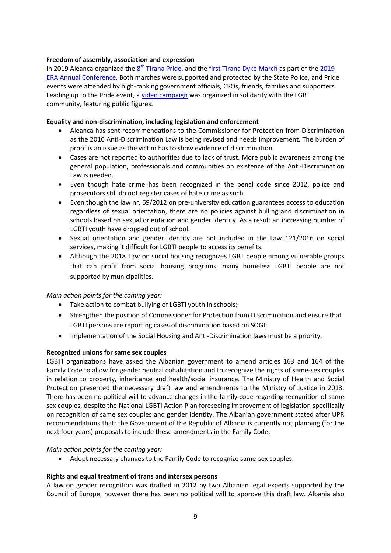### **Freedom of assembly, association and expression**

In 2019 Aleanca organized the  $8<sup>th</sup>$  [Tirana Pride,](https://exit.al/en/2019/05/18/tirana-pride-attracts-over-300-attendees/) and the [first Tirana Dyke March](https://www.historia-ime.com/lgbt/first-dyke-march-in-tirana/) as part of the 2019 [ERA Annual Conference.](https://www.lgbti-era.org/annual-conference-%E2%80%9Cour-rights-your-future) Both marches were supported and protected by the State Police, and Pride events were attended by high-ranking government officials, CSOs, friends, families and supporters. Leading up to the Pride event, [a video campaign](https://historia-ime.com/?p=66132) was organized in solidarity with the LGBT community, featuring public figures.

## **Equality and non-discrimination, including legislation and enforcement**

- Aleanca has sent recommendations to the Commissioner for Protection from Discrimination as the 2010 Anti-Discrimination Law is being revised and needs improvement. The burden of proof is an issue as the victim has to show evidence of discrimination.
- Cases are not reported to authorities due to lack of trust. More public awareness among the general population, professionals and communities on existence of the Anti-Discrimination Law is needed.
- Even though hate crime has been recognized in the penal code since 2012, police and prosecutors still do not register cases of hate crime as such.
- Even though the law nr. 69/2012 on pre-university education guarantees access to education regardless of sexual orientation, there are no policies against bulling and discrimination in schools based on sexual orientation and gender identity. As a result an increasing number of LGBTI youth have dropped out of school.
- Sexual orientation and gender identity are not included in the Law 121/2016 on social services, making it difficult for LGBTI people to access its benefits.
- Although the 2018 Law on social housing recognizes LGBT people among vulnerable groups that can profit from social housing programs, many homeless LGBTI people are not supported by municipalities.

#### *Main action points for the coming year:*

- Take action to combat bullying of LGBTI youth in schools;
- Strengthen the position of Commissioner for Protection from Discrimination and ensure that LGBTI persons are reporting cases of discrimination based on SOGI;
- Implementation of the Social Housing and Anti-Discrimination laws must be a priority.

#### **Recognized unions for same sex couples**

LGBTI organizations have asked the Albanian government to amend articles 163 and 164 of the Family Code to allow for gender neutral cohabitation and to recognize the rights of same-sex couples in relation to property, inheritance and health/social insurance. The Ministry of Health and Social Protection presented the necessary draft law and amendments to the Ministry of Justice in 2013. There has been no political will to advance changes in the family code regarding recognition of same sex couples, despite the National LGBTI Action Plan foreseeing improvement of legislation specifically on recognition of same sex couples and gender identity. The Albanian government stated after UPR recommendations that: the Government of the Republic of Albania is currently not planning (for the next four years) proposals to include these amendments in the Family Code.

#### *Main action points for the coming year:*

Adopt necessary changes to the Family Code to recognize same-sex couples.

#### **Rights and equal treatment of trans and intersex persons**

A law on gender recognition was drafted in 2012 by two Albanian legal experts supported by the Council of Europe, however there has been no political will to approve this draft law. Albania also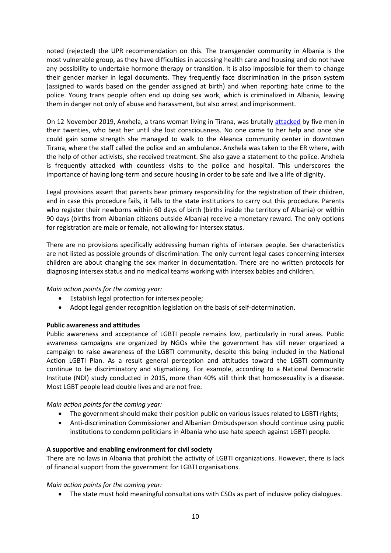noted (rejected) the UPR recommendation on this. The transgender community in Albania is the most vulnerable group, as they have difficulties in accessing health care and housing and do not have any possibility to undertake hormone therapy or transition. It is also impossible for them to change their gender marker in legal documents. They frequently face discrimination in the prison system (assigned to wards based on the gender assigned at birth) and when reporting hate crime to the police. Young trans people often end up doing sex work, which is criminalized in Albania, leaving them in danger not only of abuse and harassment, but also arrest and imprisonment.

On 12 November 2019, Anxhela, a trans woman living in Tirana, was brutally [attacked](https://www.lgbti-era.org/news/homeless-trans-woman-brutally-attacked-tirana) by five men in their twenties, who beat her until she lost consciousness. No one came to her help and once she could gain some strength she managed to walk to the Aleanca community center in downtown Tirana, where the staff called the police and an ambulance. Anxhela was taken to the ER where, with the help of other activists, she received treatment. She also gave a statement to the police. Anxhela is frequently attacked with countless visits to the police and hospital. This underscores the importance of having long-term and secure housing in order to be safe and live a life of dignity.

Legal provisions assert that parents bear primary responsibility for the registration of their children, and in case this procedure fails, it falls to the state institutions to carry out this procedure. Parents who register their newborns within 60 days of birth (births inside the territory of Albania) or within 90 days (births from Albanian citizens outside Albania) receive a monetary reward. The only options for registration are male or female, not allowing for intersex status.

There are no provisions specifically addressing human rights of intersex people. Sex characteristics are not listed as possible grounds of discrimination. The only current legal cases concerning intersex children are about changing the sex marker in documentation. There are no written protocols for diagnosing intersex status and no medical teams working with intersex babies and children.

# *Main action points for the coming year:*

- Establish legal protection for intersex people;
- Adopt legal gender recognition legislation on the basis of self-determination.

#### **Public awareness and attitudes**

Public awareness and acceptance of LGBTI people remains low, particularly in rural areas. Public awareness campaigns are organized by NGOs while the government has still never organized a campaign to raise awareness of the LGBTI community, despite this being included in the National Action LGBTI Plan. As a result general perception and attitudes toward the LGBTI community continue to be discriminatory and stigmatizing. For example, according to a National Democratic Institute (NDI) study conducted in 2015, more than 40% still think that homosexuality is a disease. Most LGBT people lead double lives and are not free.

#### *Main action points for the coming year:*

- The government should make their position public on various issues related to LGBTI rights;
- Anti-discrimination Commissioner and Albanian Ombudsperson should continue using public institutions to condemn politicians in Albania who use hate speech against LGBTI people.

#### **A supportive and enabling environment for civil society**

There are no laws in Albania that prohibit the activity of LGBTI organizations. However, there is lack of financial support from the government for LGBTI organisations.

#### *Main action points for the coming year:*

The state must hold meaningful consultations with CSOs as part of inclusive policy dialogues.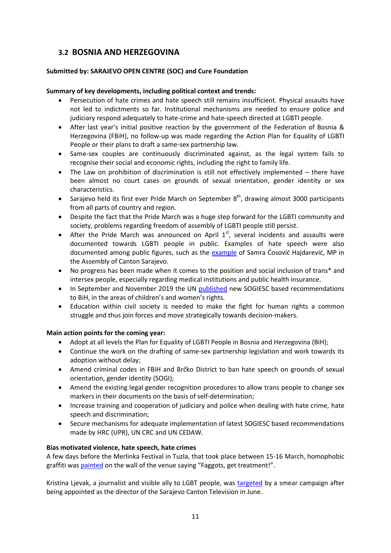# <span id="page-11-0"></span>**3.2 BOSNIA AND HERZEGOVINA**

# **Submitted by: SARAJEVO OPEN CENTRE (SOC) and Cure Foundation**

# **Summary of key developments, including political context and trends:**

- Persecution of hate crimes and hate speech still remains insufficient. Physical assaults have not led to indictments so far. Institutional mechanisms are needed to ensure police and judiciary respond adequately to hate-crime and hate-speech directed at LGBTI people.
- After last year's initial positive reaction by the government of the Federation of Bosnia & Herzegovina (FBiH), no follow-up was made regarding the Action Plan for Equality of LGBTI People or their plans to draft a same-sex partnership law.
- Same-sex couples are continuously discriminated against, as the legal system fails to recognise their social and economic rights, including the right to family life.
- The Law on prohibition of discrimination is still not effectively implemented there have been almost no court cases on grounds of sexual orientation, gender identity or sex characteristics.
- Sarajevo held its first ever Pride March on September  $8<sup>th</sup>$ , drawing almost 3000 participants from all parts of country and region.
- Despite the fact that the Pride March was a huge step forward for the LGBTI community and society, problems regarding freedom of assembly of LGBTI people still persist.
- After the Pride March was announced on April  $1^{st}$ , several incidents and assaults were documented towards LGBTI people in public. Examples of hate speech were also documented among public figures, such as the **example** of Samra Cosović Hajdarević, MP in the Assembly of Canton Sarajevo.
- No progress has been made when it comes to the position and social inclusion of trans\* and intersex people, especially regarding medical institutions and public health insurance.
- In September and November 2019 the UN [published](https://www.lgbti-era.org/news/new-recommendations-bosnia-and-herzegovina-united-nations) new SOGIESC based recommendations to BiH, in the areas of children's and women's rights.
- Education within civil society is needed to make the fight for human rights a common struggle and thus join forces and move strategically towards decision-makers.

#### **Main action points for the coming year:**

- Adopt at all levels the Plan for Equality of LGBTI People in Bosnia and Herzegovina (BiH);
- Continue the work on the drafting of same-sex partnership legislation and work towards its adoption without delay;
- Amend criminal codes in FBiH and Brčko District to ban hate speech on grounds of sexual orientation, gender identity (SOGI);
- Amend the existing legal gender recognition procedures to allow trans people to change sex markers in their documents on the basis of self-determination;
- Increase training and cooperation of judiciary and police when dealing with hate crime, hate speech and discrimination;
- Secure mechanisms for adequate implementation of latest SOGIESC based recommendations made by HRC (UPR), UN CRC and UN CEDAW.

# **Bias motivated violence, hate speech, hate crimes**

A few days before the Merlinka Festival in Tuzla, that took place between 15-16 March, homophobic graffiti was [painted](http://soc.ba/en/press-release-from-the-coalition-for-the-combating-hate-speech-and-hate-crime-2014-attack-on-the-merlinka-festival-in-sarajevo-2019-threats-towards-merlinka-festival-in-tuzla/) on the wall of the venue saying "Faggots, get treatment!".

Kristina Ljevak, a journalist and visible ally to LGBT people, was [targeted](https://ba.voanews.com/a/ljevak-moje-i-njihovo-sarajevo-nisu-isti-grad/4980408.html) by a smear campaign after being appointed as the director of the Sarajevo Canton Television in June.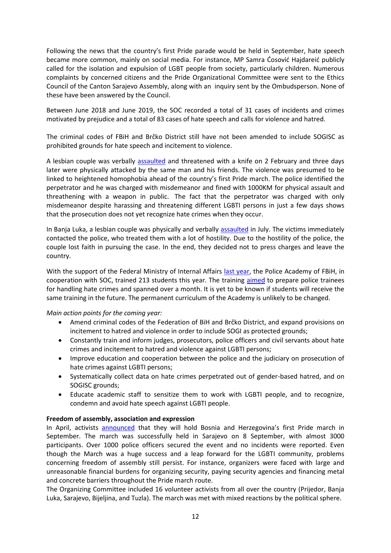Following the news that the country's first Pride parade would be held in September, hate speech became more common, mainly on social media. For instance, MP Samra Ćosović Hajdareić publicly called for the isolation and expulsion of LGBT people from society, particularly children. Numerous complaints by concerned citizens and the Pride Organizational Committee were sent to the Ethics Council of the Canton Sarajevo Assembly, along with an inquiry sent by the Ombudsperson. None of these have been answered by the Council.

Between June 2018 and June 2019, the SOC recorded a total of 31 cases of incidents and crimes motivated by prejudice and a total of 83 cases of hate speech and calls for violence and hatred.

The criminal codes of FBiH and Brčko District still have not been amended to include SOGISC as prohibited grounds for hate speech and incitement to violence.

A lesbian couple was verbally [assaulted](http://soc.ba/en/coalition-for-the-fight-against-hate-speech-and-hate-crimes-condemnation-of-an-attack-on-a-lgbti-activist/) and threatened with a knife on 2 February and three days later were physically attacked by the same man and his friends. The violence was presumed to be linked to heightened homophobia ahead of the country's first Pride march. The police identified the perpetrator and he was charged with misdemeanor and fined with 1000KM for physical assault and threathening with a weapon in public. The fact that the perpetrator was charged with only misdemeanor despite harassing and threatening different LGBTI persons in just a few days shows that the prosecution does not yet recognize hate crimes when they occur.

In Banja Luka, a lesbian couple was physically and verbally [assaulted](http://ba.n1info.com/Vijesti/a354888/Dragan-Bursac-Dajana-Dangubic-napadnuta-jer-nosi-kratku-kosu.html) in July. The victims immediately contacted the police, who treated them with a lot of hostility. Due to the hostility of the police, the couple lost faith in pursuing the case. In the end, they decided not to press charges and leave the country.

With the support of the Federal Ministry of Internal Affairs [last year,](https://www.ilga-europe.org/sites/default/files/bosnia_and_herzegovina.pdf) the Police Academy of FBiH, in cooperation with SOC, trained 213 students this year. The training [aimed](http://soc.ba/en/the-education-of-future-police-officers-is-an-important-step-in-the-fight-against-hate-crimes/) to prepare police trainees for handling hate crimes and spanned over a month. It is yet to be known if students will receive the same training in the future. The permanent curriculum of the Academy is unlikely to be changed.

#### *Main action points for the coming year:*

- Amend criminal codes of the Federation of BiH and Brčko District, and expand provisions on incitement to hatred and violence in order to include SOGI as protected grounds;
- Constantly train and inform judges, prosecutors, police officers and civil servants about hate crimes and incitement to hatred and violence against LGBTI persons;
- Improve education and cooperation between the police and the judiciary on prosecution of hate crimes against LGBTI persons;
- Systematically collect data on hate crimes perpetrated out of gender-based hatred, and on SOGISC grounds;
- Educate academic staff to sensitize them to work with LGBTI people, and to recognize, condemn and avoid hate speech against LGBTI people.

#### **Freedom of assembly, association and expression**

In April, activists [announced](https://www.bbc.com/news/blogs-news-from-elsewhere-47804465) that they will hold Bosnia and Herzegovina's first Pride march in September. The march was successfully held in Sarajevo on 8 September, with almost 3000 participants. Over 1000 police officers secured the event and no incidents were reported. Even though the March was a huge success and a leap forward for the LGBTI community, problems concerning freedom of assembly still persist. For instance, organizers were faced with large and unreasonable financial burdens for organizing security, paying security agencies and financing metal and concrete barriers throughout the Pride march route.

The Organizing Committee included 16 volunteer activists from all over the country (Prijedor, Banja Luka, Sarajevo, Bijeljina, and Tuzla). The march was met with mixed reactions by the political sphere.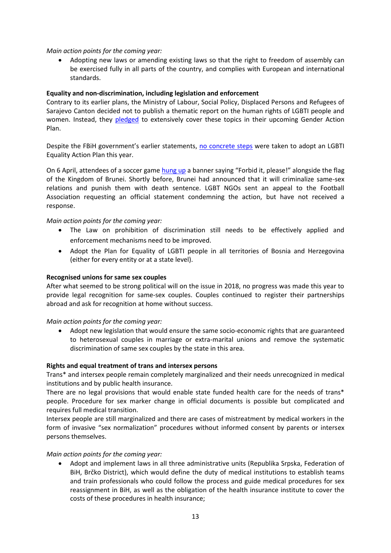### *Main action points for the coming year:*

 Adopting new laws or amending existing laws so that the right to freedom of assembly can be exercised fully in all parts of the country, and complies with European and international standards.

## **Equality and non-discrimination, including legislation and enforcement**

Contrary to its earlier plans, the Ministry of Labour, Social Policy, Displaced Persons and Refugees of Sarajevo Canton decided not to publish a thematic report on the human rights of LGBTI people and women. Instead, they [pledged](http://soc.ba/korak-ka-ostvarivanju-stvarne-rodne-ravnopravnosti-u-kantonu-sarajevo/) to extensively cover these topics in their upcoming Gender Action Plan.

Despite the FBiH government's earlier statements, [no concrete steps](http://soc.ba/en/pink-report-2019-annual-report-on-the-state-of-human-rights-of-lgbti-people-in-bosnia-and-herzegovina/) were taken to adopt an LGBTI Equality Action Plan this year.

On 6 April, attendees of a soccer game [hung up](http://soc.ba/en/reaction-the-spread-of-hate-towards-lgbti-people-in-bih-continues-in-sports-competitions/) a banner saying "Forbid it, please!" alongside the flag of the Kingdom of Brunei. Shortly before, Brunei had announced that it will criminalize same-sex relations and punish them with death sentence. LGBT NGOs sent an appeal to the Football Association requesting an official statement condemning the action, but have not received a response.

## *Main action points for the coming year:*

- The Law on prohibition of discrimination still needs to be effectively applied and enforcement mechanisms need to be improved.
- Adopt the Plan for Equality of LGBTI people in all territories of Bosnia and Herzegovina (either for every entity or at a state level).

#### **Recognised unions for same sex couples**

After what seemed to be strong political will on the issue in 2018, no progress was made this year to provide legal recognition for same-sex couples. Couples continued to register their partnerships abroad and ask for recognition at home without success.

*Main action points for the coming year:*

 Adopt new legislation that would ensure the same socio-economic rights that are guaranteed to heterosexual couples in marriage or extra-marital unions and remove the systematic discrimination of same sex couples by the state in this area.

#### **Rights and equal treatment of trans and intersex persons**

Trans\* and intersex people remain completely marginalized and their needs unrecognized in medical institutions and by public health insurance.

There are no legal provisions that would enable state funded health care for the needs of trans\* people. Procedure for sex marker change in official documents is possible but complicated and requires full medical transition.

Intersex people are still marginalized and there are cases of mistreatment by medical workers in the form of invasive "sex normalization" procedures without informed consent by parents or intersex persons themselves.

#### *Main action points for the coming year:*

 Adopt and implement laws in all three administrative units (Republika Srpska, Federation of BiH, Brčko District), which would define the duty of medical institutions to establish teams and train professionals who could follow the process and guide medical procedures for sex reassignment in BiH, as well as the obligation of the health insurance institute to cover the costs of these procedures in health insurance;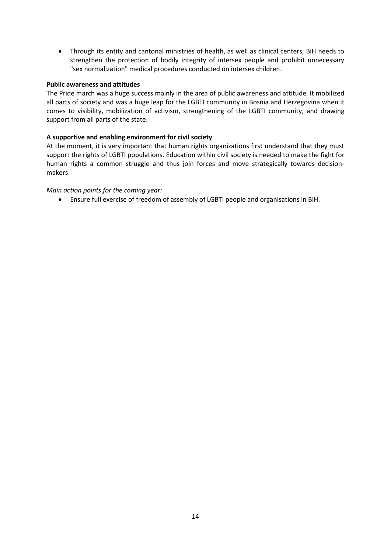Through its entity and cantonal ministries of health, as well as clinical centers, BiH needs to strengthen the protection of bodily integrity of intersex people and prohibit unnecessary "sex normalization" medical procedures conducted on intersex children.

### **Public awareness and attitudes**

The Pride march was a huge success mainly in the area of public awareness and attitude. It mobilized all parts of society and was a huge leap for the LGBTI community in Bosnia and Herzegovina when it comes to visibility, mobilization of activism, strengthening of the LGBTI community, and drawing support from all parts of the state.

## **A supportive and enabling environment for civil society**

At the moment, it is very important that human rights organizations first understand that they must support the rights of LGBTI populations. Education within civil society is needed to make the fight for human rights a common struggle and thus join forces and move strategically towards decisionmakers.

## *Main action points for the coming year:*

Ensure full exercise of freedom of assembly of LGBTI people and organisations in BiH.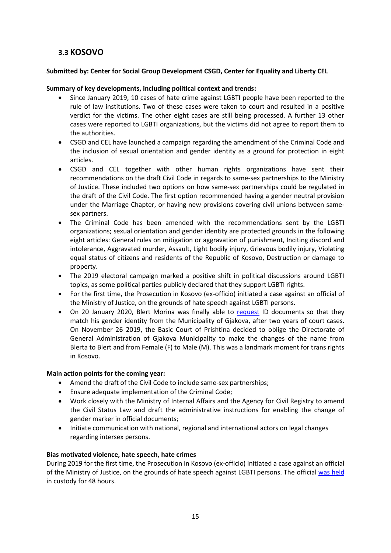# <span id="page-15-0"></span>**3.3 KOSOVO**

# **Submitted by: Center for Social Group Development CSGD, Center for Equality and Liberty CEL**

## **Summary of key developments, including political context and trends:**

- Since January 2019, 10 cases of hate crime against LGBTI people have been reported to the rule of law institutions. Two of these cases were taken to court and resulted in a positive verdict for the victims. The other eight cases are still being processed. A further 13 other cases were reported to LGBTI organizations, but the victims did not agree to report them to the authorities.
- CSGD and CEL have launched a campaign regarding the amendment of the Criminal Code and the inclusion of sexual orientation and gender identity as a ground for protection in eight articles.
- CSGD and CEL together with other human rights organizations have sent their recommendations on the draft Civil Code in regards to same-sex partnerships to the Ministry of Justice. These included two options on how same-sex partnerships could be regulated in the draft of the Civil Code. The first option recommended having a gender neutral provision under the Marriage Chapter, or having new provisions covering civil unions between samesex partners.
- The Criminal Code has been amended with the recommendations sent by the LGBTI organizations; sexual orientation and gender identity are protected grounds in the following eight articles: General rules on mitigation or aggravation of punishment, Inciting discord and intolerance, Aggravated murder, Assault, Light bodily injury, Grievous bodily injury, Violating equal status of citizens and residents of the Republic of Kosovo, Destruction or damage to property.
- The 2019 electoral campaign marked a positive shift in political discussions around LGBTI topics, as some political parties publicly declared that they support LGBTI rights.
- For the first time, the Prosecution in Kosovo (ex-officio) initiated a case against an official of the Ministry of Justice, on the grounds of hate speech against LGBTI persons.
- On 20 January 2020, Blert Morina was finally able to [request](https://kosovotwopointzero.com/en/landmark-decision-for-transgender-rights/) ID documents so that they match his gender identity from the Municipality of Gjakova, after two years of court cases. On November 26 2019, the Basic Court of Prishtina decided to oblige the Directorate of General Administration of Gjakova Municipality to make the changes of the name from Blerta to Blert and from Female (F) to Male (M). This was a landmark moment for trans rights in Kosovo.

#### **Main action points for the coming year:**

- Amend the draft of the Civil Code to include same-sex partnerships;
- Ensure adequate implementation of the Criminal Code;
- Work closely with the Ministry of Internal Affairs and the Agency for Civil Registry to amend the Civil Status Law and draft the administrative instructions for enabling the change of gender marker in official documents;
- Initiate communication with national, regional and international actors on legal changes regarding intersex persons.

#### **Bias motivated violence, hate speech, hate crimes**

During 2019 for the first time, the Prosecution in Kosovo (ex-officio) initiated a case against an official of the Ministry of Justice, on the grounds of hate speech against LGBTI persons. The official [was held](https://www.almakos.com/ndalohet-per-48-ore-zyrtari-i-ministrise-se-drejtesise-qe-kercenoi-komunitetin-lgbt/) in custody for 48 hours.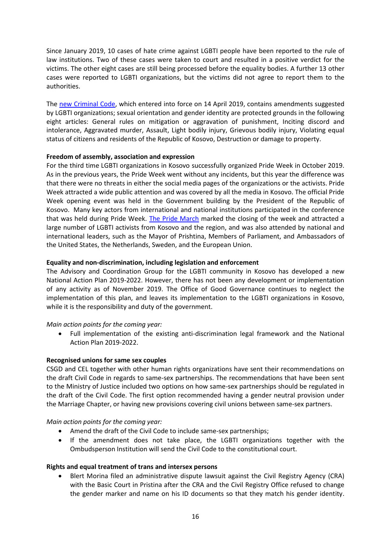Since January 2019, 10 cases of hate crime against LGBTI people have been reported to the rule of law institutions. Two of these cases were taken to court and resulted in a positive verdict for the victims. The other eight cases are still being processed before the equality bodies. A further 13 other cases were reported to LGBTI organizations, but the victims did not agree to report them to the authorities.

The [new Criminal Code,](https://www.lgbti-era.org/news/new-criminal-code-kosovo-strengthens-protections-lgbti-persons) which entered into force on 14 April 2019, contains amendments suggested by LGBTI organizations; sexual orientation and gender identity are protected grounds in the following eight articles: General rules on mitigation or aggravation of punishment, Inciting discord and intolerance, Aggravated murder, Assault, Light bodily injury, Grievous bodily injury, Violating equal status of citizens and residents of the Republic of Kosovo, Destruction or damage to property.

## **Freedom of assembly, association and expression**

For the third time LGBTI organizations in Kosovo successfully organized Pride Week in October 2019. As in the previous years, the Pride Week went without any incidents, but this year the difference was that there were no threats in either the social media pages of the organizations or the activists. Pride Week attracted a wide public attention and was covered by all the media in Kosovo. The official Pride Week opening event was held in the Government building by the President of the Republic of Kosovo. Many key actors from international and national institutions participated in the conference that was held during Pride Week. [The Pride March](https://prishtinainsight.com/in-photos-kosovo-holds-its-third-pride-parade-mag/) marked the closing of the week and attracted a large number of LGBTI activists from Kosovo and the region, and was also attended by national and international leaders, such as the Mayor of Prishtina, Members of Parliament, and Ambassadors of the United States, the Netherlands, Sweden, and the European Union.

## **Equality and non-discrimination, including legislation and enforcement**

The Advisory and Coordination Group for the LGBTI community in Kosovo has developed a new National Action Plan 2019-2022. However, there has not been any development or implementation of any activity as of November 2019. The Office of Good Governance continues to neglect the implementation of this plan, and leaves its implementation to the LGBTI organizations in Kosovo, while it is the responsibility and duty of the government.

#### *Main action points for the coming year:*

 Full implementation of the existing anti-discrimination legal framework and the National Action Plan 2019-2022.

#### **Recognised unions for same sex couples**

CSGD and CEL together with other human rights organizations have sent their recommendations on the draft Civil Code in regards to same-sex partnerships. The recommendations that have been sent to the Ministry of Justice included two options on how same-sex partnerships should be regulated in the draft of the Civil Code. The first option recommended having a gender neutral provision under the Marriage Chapter, or having new provisions covering civil unions between same-sex partners.

#### *Main action points for the coming year:*

- Amend the draft of the Civil Code to include same-sex partnerships;
- If the amendment does not take place, the LGBTI organizations together with the Ombudsperson Institution will send the Civil Code to the constitutional court.

#### **Rights and equal treatment of trans and intersex persons**

 Blert Morina filed an administrative dispute lawsuit against the Civil Registry Agency (CRA) with the Basic Court in Pristina after the CRA and the Civil Registry Office refused to change the gender marker and name on his ID documents so that they match his gender identity.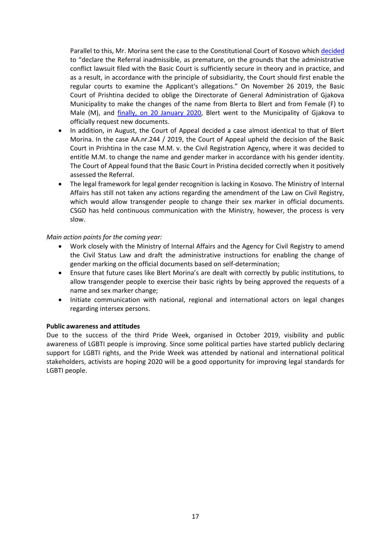Parallel to this, Mr. Morina sent the case to the Constitutional Court of Kosovo which [decided](http://gjk-ks.org/en/decision/kerkese-per-vleresim-te-kushtetutshmerise-se-vendimit-nr-64-04-te-agjencise-se-regjistrimit-civil-te-13-qershorit-2018/) to "declare the Referral inadmissible, as premature, on the grounds that the administrative conflict lawsuit filed with the Basic Court is sufficiently secure in theory and in practice, and as a result, in accordance with the principle of subsidiarity, the Court should first enable the regular courts to examine the Applicant's allegations." On November 26 2019, the Basic Court of Prishtina decided to oblige the Directorate of General Administration of Gjakova Municipality to make the changes of the name from Blerta to Blert and from Female (F) to Male (M), and [finally, on 20 January 2020,](https://kosovotwopointzero.com/en/landmark-decision-for-transgender-rights/) Blert went to the Municipality of Gjakova to officially request new documents.

- In addition, in August, the Court of Appeal decided a case almost identical to that of Blert Morina. In the case AA.nr.244 / 2019, the Court of Appeal upheld the decision of the Basic Court in Prishtina in the case M.M. v. the Civil Registration Agency, where it was decided to entitle M.M. to change the name and gender marker in accordance with his gender identity. The Court of Appeal found that the Basic Court in Pristina decided correctly when it positively assessed the Referral.
- The legal framework for legal gender recognition is lacking in Kosovo. The Ministry of Internal Affairs has still not taken any actions regarding the amendment of the Law on Civil Registry, which would allow transgender people to change their sex marker in official documents. CSGD has held continuous communication with the Ministry, however, the process is very slow.

#### *Main action points for the coming year:*

- Work closely with the Ministry of Internal Affairs and the Agency for Civil Registry to amend the Civil Status Law and draft the administrative instructions for enabling the change of gender marking on the official documents based on self-determination;
- Ensure that future cases like Blert Morina's are dealt with correctly by public institutions, to allow transgender people to exercise their basic rights by being approved the requests of a name and sex marker change;
- Initiate communication with national, regional and international actors on legal changes regarding intersex persons.

#### **Public awareness and attitudes**

Due to the success of the third Pride Week, organised in October 2019, visibility and public awareness of LGBTI people is improving. Since some political parties have started publicly declaring support for LGBTI rights, and the Pride Week was attended by national and international political stakeholders, activists are hoping 2020 will be a good opportunity for improving legal standards for LGBTI people.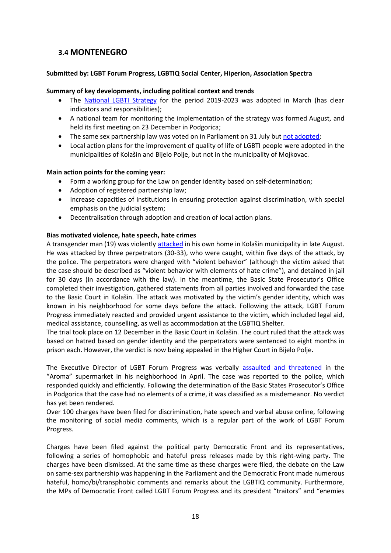# <span id="page-18-0"></span>**3.4 MONTENEGRO**

### **Submitted by: LGBT Forum Progress, LGBTIQ Social Center, Hiperion, Association Spectra**

#### **Summary of key developments, including political context and trends**

- The [National LGBTI Strategy](http://www.zsdzcg.me/images/dokumenta/opsta%20dokumenta/Strategija%20za%20unapre%C4%91enje%20kvaliteta%20%C5%BEivota%20LGBTI%20osoba%20u%20Crnoj%20Gori%202019-2023.pdf) for the period 2019-2023 was adopted in March (has clear indicators and responsibilities);
- A national team for monitoring the implementation of the strategy was formed August, and held its first meeting on 23 December in Podgorica;
- The same sex partnership law was voted on in Parliament on 31 July but [not adopted;](https://lgbtprogres.me/novosti/neuspjelo-usvajanje-zakona-o-zivotnom-partnerstvu-veliki-poraz-za-demokratiju-u-crnoj-gori/)
- Local action plans for the improvement of quality of life of LGBTI people were adopted in the municipalities of Kolašin and Bijelo Polje, but not in the municipality of Mojkovac.

## **Main action points for the coming year:**

- Form a working group for the Law on gender identity based on self-determination;
- Adoption of registered partnership law;
- Increase capacities of institutions in ensuring protection against discrimination, with special emphasis on the judicial system;
- Decentralisation through adoption and creation of local action plans.

## **Bias motivated violence, hate speech, hate crimes**

A transgender man (19) was violently [attacked](https://www.lgbti-era.org/news/trans-man-attacked-montenegro) in his own home in Kolašin municipality in late August. He was attacked by three perpetrators (30-33), who were caught, within five days of the attack, by the police. The perpetrators were charged with "violent behavior" (although the victim asked that the case should be described as "violent behavior with elements of hate crime"), and detained in jail for 30 days (in accordance with the law). In the meantime, the Basic State Prosecutor's Office completed their investigation, gathered statements from all parties involved and forwarded the case to the Basic Court in Kolašin. The attack was motivated by the victim's gender identity, which was known in his neighborhood for some days before the attack. Following the attack, LGBT Forum Progress immediately reacted and provided urgent assistance to the victim, which included legal aid, medical assistance, counselling, as well as accommodation at the LGBTIQ Shelter.

The trial took place on 12 December in the Basic Court in Kolašin. The court ruled that the attack was based on hatred based on gender identity and the perpetrators were sentenced to eight months in prison each. However, the verdict is now being appealed in the Higher Court in Bijelo Polje.

The Executive Director of LGBT Forum Progress was verbally [assaulted and threatened](https://lgbtprogres.me/novosti/efikasna-reakcija-policije-u-slucaju-homofobnih-prijetnji-aktivisti-lgbt-forum-progresa/) in the "Aroma" supermarket in his neighborhood in April. The case was reported to the police, which responded quickly and efficiently. Following the determination of the Basic States Prosecutor's Office in Podgorica that the case had no elements of a crime, it was classified as a misdemeanor. No verdict has yet been rendered.

Over 100 charges have been filed for discrimination, hate speech and verbal abuse online, following the monitoring of social media comments, which is a regular part of the work of LGBT Forum Progress.

Charges have been filed against the political party Democratic Front and its representatives, following a series of homophobic and hateful press releases made by this right-wing party. The charges have been dismissed. At the same time as these charges were filed, the debate on the Law on same-sex partnership was happening in the Parliament and the Democratic Front made numerous hateful, homo/bi/transphobic comments and remarks about the LGBTIQ community. Furthermore, the MPs of Democratic Front called LGBT Forum Progress and its president "traitors" and "enemies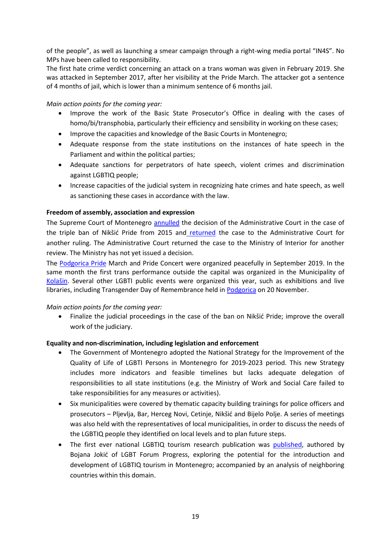of the people", as well as launching a smear campaign through a right-wing media portal "IN4S". No MPs have been called to responsibility.

The first hate crime verdict concerning an attack on a trans woman was given in February 2019. She was attacked in September 2017, after her visibility at the Pride March. The attacker got a sentence of 4 months of jail, which is lower than a minimum sentence of 6 months jail.

*Main action points for the coming year:*

- Improve the work of the Basic State Prosecutor's Office in dealing with the cases of homo/bi/transphobia, particularly their efficiency and sensibility in working on these cases;
- Improve the capacities and knowledge of the Basic Courts in Montenegro;
- Adequate response from the state institutions on the instances of hate speech in the Parliament and within the political parties;
- Adequate sanctions for perpetrators of hate speech, violent crimes and discrimination against LGBTIQ people;
- Increase capacities of the judicial system in recognizing hate crimes and hate speech, as well as sanctioning these cases in accordance with the law.

# **Freedom of assembly, association and expression**

The Supreme Court of Montenegro [annulled](http://www.hraction.org/2019/01/14/13-1-2019-the-case-of-violation-of-the-right-to-peaceful-assembly-of-the-lgbt-community-in-niksic-re-trial-on-established-violation-of-rights-is-not-effective-protection/?lang=en) the decision of the Administrative Court in the case of the triple ban of Nikšić Pride from 2015 and [returned](http://www.hraction.org/wp-content/uploads/2019/01/Presuda-Vrhovnog-suda.pdf) the case to the Administrative Court for another ruling. The Administrative Court returned the case to the Ministry of Interior for another review. The Ministry has not yet issued a decision.

The [Podgorica Pride](https://asocijacijaspektra.org/2019/09/21/organizatori-montenegro-prajda-zatrazili-da-prestanu-da-se-biju-politicke-bitke-preko-njihovih-leda/) March and Pride Concert were organized peacefully in September 2019. In the same month the first trans performance outside the capital was organized in the Municipality of [Kolašin](https://asocijacijaspektra.org/2019/09/16/performans-maske-u-kolasinu/). Several other LGBTI public events were organized this year, such as exhibitions and live libraries, including Transgender Day of Remembrance held in [Podgorica](https://www.vijesti.me/vijesti/drustvo/foto-obiljezen-dan-sjecanja-na-zrtve-transfobije) on 20 November.

#### *Main action points for the coming year:*

 Finalize the judicial proceedings in the case of the ban on Nikšić Pride; improve the overall work of the judiciary.

#### **Equality and non-discrimination, including legislation and enforcement**

- The Government of Montenegro adopted the National Strategy for the Improvement of the Quality of Life of LGBTI Persons in Montenegro for 2019-2023 period. This new Strategy includes more indicators and feasible timelines but lacks adequate delegation of responsibilities to all state institutions (e.g. the Ministry of Work and Social Care failed to take responsibilities for any measures or activities).
- Six municipalities were covered by thematic capacity building trainings for police officers and prosecutors – Pljevlja, Bar, Herceg Novi, Cetinje, Nikšić and Bijelo Polje. A series of meetings was also held with the representatives of local municipalities, in order to discuss the needs of the LGBTIQ people they identified on local levels and to plan future steps.
- The first ever national LGBTIQ tourism research publication was [published,](https://lgbtprogres.me/publikacije/analiza-potencijala-za-razvoj-lgbtiq-turizma-u-crnoj-gori/) authored by Bojana Jokić of LGBT Forum Progress, exploring the potential for the introduction and development of LGBTIQ tourism in Montenegro; accompanied by an analysis of neighboring countries within this domain.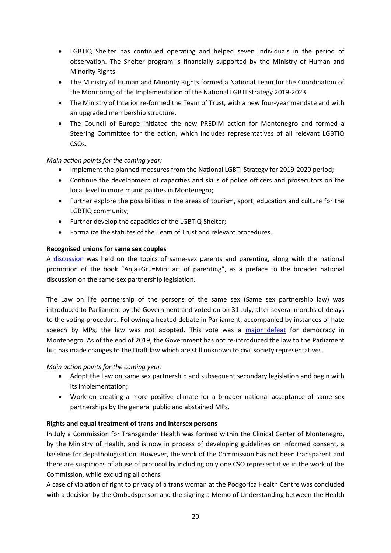- LGBTIQ Shelter has continued operating and helped seven individuals in the period of observation. The Shelter program is financially supported by the Ministry of Human and Minority Rights.
- The Ministry of Human and Minority Rights formed a National Team for the Coordination of the Monitoring of the Implementation of the National LGBTI Strategy 2019-2023.
- The Ministry of Interior re-formed the Team of Trust, with a new four-year mandate and with an upgraded membership structure.
- The Council of Europe initiated the new PREDIM action for Montenegro and formed a Steering Committee for the action, which includes representatives of all relevant LGBTIQ CSOs.

# *Main action points for the coming year:*

- Implement the planned measures from the National LGBTI Strategy for 2019-2020 period:
- Continue the development of capacities and skills of police officers and prosecutors on the local level in more municipalities in Montenegro;
- Further explore the possibilities in the areas of tourism, sport, education and culture for the LGBTIQ community;
- Further develop the capacities of the LGBTIQ Shelter;
- Formalize the statutes of the Team of Trust and relevant procedures.

# **Recognised unions for same sex couples**

A [discussion](https://lgbtprogres.me/novosti/istopolne-porodice-su-dio-crnogorske-stvarnosti/) was held on the topics of same-sex parents and parenting, along with the national promotion of the book "Anja+Gru=Mio: art of parenting", as a preface to the broader national discussion on the same-sex partnership legislation.

The Law on life partnership of the persons of the same sex (Same sex partnership law) was introduced to Parliament by the Government and voted on on 31 July, after several months of delays to the voting procedure. Following a heated debate in Parliament, accompanied by instances of hate speech by MPs, the law was not adopted. This vote was a [major defeat](https://balkaninsight.com/2019/08/01/same-sex-union-vote-failure-dismays-montenegro-lgbts/) for democracy in Montenegro. As of the end of 2019, the Government has not re-introduced the law to the Parliament but has made changes to the Draft law which are still unknown to civil society representatives.

#### *Main action points for the coming year:*

- Adopt the Law on same sex partnership and subsequent secondary legislation and begin with its implementation;
- Work on creating a more positive climate for a broader national acceptance of same sex partnerships by the general public and abstained MPs.

# **Rights and equal treatment of trans and intersex persons**

In July a Commission for Transgender Health was formed within the Clinical Center of Montenegro, by the Ministry of Health, and is now in process of developing guidelines on informed consent, a baseline for depathologisation. However, the work of the Commission has not been transparent and there are suspicions of abuse of protocol by including only one CSO representative in the work of the Commission, while excluding all others.

A case of violation of right to privacy of a trans woman at the Podgorica Health Centre was concluded with a decision by the Ombudsperson and the signing a Memo of Understanding between the Health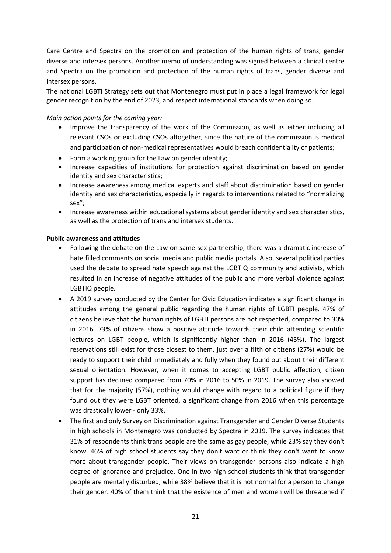Care Centre and Spectra on the promotion and protection of the human rights of trans, gender diverse and intersex persons. Another memo of understanding was signed between a clinical centre and Spectra on the promotion and protection of the human rights of trans, gender diverse and intersex persons.

The national LGBTI Strategy sets out that Montenegro must put in place a legal framework for legal gender recognition by the end of 2023, and respect international standards when doing so.

### *Main action points for the coming year:*

- Improve the transparency of the work of the Commission, as well as either including all relevant CSOs or excluding CSOs altogether, since the nature of the commission is medical and participation of non-medical representatives would breach confidentiality of patients;
- Form a working group for the Law on gender identity;
- Increase capacities of institutions for protection against discrimination based on gender identity and sex characteristics;
- Increase awareness among medical experts and staff about discrimination based on gender identity and sex characteristics, especially in regards to interventions related to "normalizing sex";
- Increase awareness within educational systems about gender identity and sex characteristics, as well as the protection of trans and intersex students.

#### **Public awareness and attitudes**

- Following the debate on the Law on same-sex partnership, there was a dramatic increase of hate filled comments on social media and public media portals. Also, several political parties used the debate to spread hate speech against the LGBTIQ community and activists, which resulted in an increase of negative attitudes of the public and more verbal violence against LGBTIQ people.
- A 2019 survey conducted by the Center for Civic Education indicates a significant change in attitudes among the general public regarding the human rights of LGBTI people. 47% of citizens believe that the human rights of LGBTI persons are not respected, compared to 30% in 2016. 73% of citizens show a positive attitude towards their child attending scientific lectures on LGBT people, which is significantly higher than in 2016 (45%). The largest reservations still exist for those closest to them, just over a fifth of citizens (27%) would be ready to support their child immediately and fully when they found out about their different sexual orientation. However, when it comes to accepting LGBT public affection, citizen support has declined compared from 70% in 2016 to 50% in 2019. The survey also showed that for the majority (57%), nothing would change with regard to a political figure if they found out they were LGBT oriented, a significant change from 2016 when this percentage was drastically lower - only 33%.
- The first and only Survey on Discrimination against Transgender and Gender Diverse Students in high schools in Montenegro was conducted by Spectra in 2019. The survey indicates that 31% of respondents think trans people are the same as gay people, while 23% say they don't know. 46% of high school students say they don't want or think they don't want to know more about transgender people. Their views on transgender persons also indicate a high degree of ignorance and prejudice. One in two high school students think that transgender people are mentally disturbed, while 38% believe that it is not normal for a person to change their gender. 40% of them think that the existence of men and women will be threatened if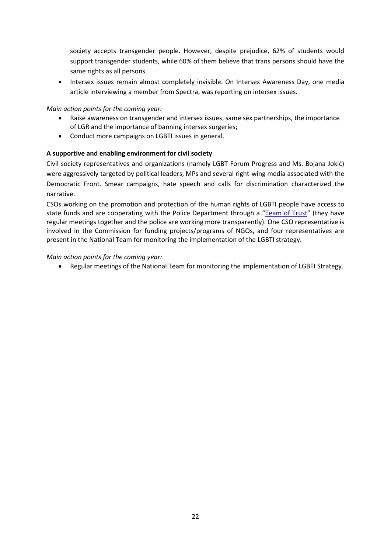society accepts transgender people. However, despite prejudice, 62% of students would support transgender students, while 60% of them believe that trans persons should have the same rights as all persons.

• Intersex issues remain almost completely invisible. On Intersex Awareness Day, one media article interviewing a member from Spectra, was reporting on intersex issues.

# *Main action points for the coming year:*

- Raise awareness on transgender and intersex issues, same sex partnerships, the importance of LGR and the importance of banning intersex surgeries;
- Conduct more campaigns on LGBTI issues in general.

# **A supportive and enabling environment for civil society**

Civil society representatives and organizations (namely LGBT Forum Progress and Ms. Bojana Jokić) were aggressively targeted by political leaders, MPs and several right-wing media associated with the Democratic Front. Smear campaigns, hate speech and calls for discrimination characterized the narrative.

CSOs working on the promotion and protection of the human rights of LGBTI people have access to state funds and are cooperating with the Police Department through a "[Team of Trust](https://asocijacijaspektra.org/2019/07/06/kvalitetna-saradnja-uprave-policije-i-tima-povjerenja-lgbt-zajednice/)" (they have regular meetings together and the police are working more transparently). One CSO representative is involved in the Commission for funding projects/programs of NGOs, and four representatives are present in the National Team for monitoring the implementation of the LGBTI strategy.

# *Main action points for the coming year:*

Regular meetings of the National Team for monitoring the implementation of LGBTI Strategy.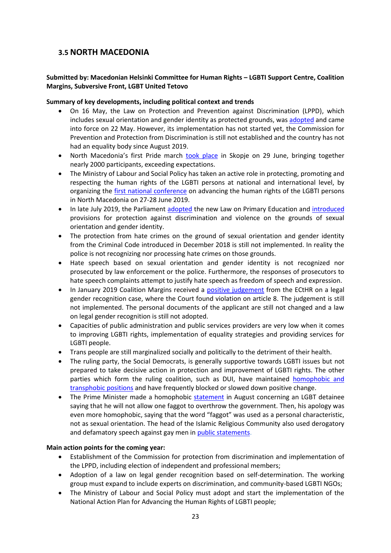# <span id="page-23-0"></span>**3.5 NORTH MACEDONIA**

# **Submitted by: Macedonian Helsinki Committee for Human Rights – LGBTI Support Centre, Coalition Margins, Subversive Front, LGBT United Tetovo**

## **Summary of key developments, including political context and trends**

- On 16 May, the Law on Protection and Prevention against Discrimination (LPPD), which includes sexual orientation and gender identity as protected grounds, wa[s adopted](https://ecom.ngo/en/the-new-antidiscrimination-law-in-north-macedonia/) and came into force on 22 May. However, its implementation has not started yet, the Commission for Prevention and Protection from Discrimination is still not established and the country has not had an equality body since August 2019.
- North Macedonia's first Pride march [took place](https://www.reuters.com/article/us-gay-pride-north-macedonia/north-macedonia-hosts-its-first-gay-pride-march-idUSKCN1TU0JJ) in Skopje on 29 June, bringing together nearly 2000 participants, exceeding expectations.
- The Ministry of Labour and Social Policy has taken an active role in protecting, promoting and respecting the human rights of the LGBTI persons at national and international level, by organizing the [first national conference](https://www.lgbti-era.org/news/national-conference-skopje-advance-lgbti-rights-and-strengthen-regional-cooperation) on advancing the human rights of the LGBTI persons in North Macedonia on 27-28 June 2019.
- In late July 2019, the Parliament [adopted](https://www.lgbti-era.org/news/new-law-primary-education-north-macedonia-provides-protection-lgbt-persons) the new Law on Primary Education and [introduced](https://www.lgbti-era.org/news/new-law-primary-education-north-macedonia-provides-protection-lgbt-persons) provisions for protection against discrimination and violence on the grounds of sexual orientation and gender identity.
- The protection from hate crimes on the ground of sexual orientation and gender identity from the Criminal Code introduced in December 2018 is still not implemented. In reality the police is not recognizing nor processing hate crimes on those grounds.
- Hate speech based on sexual orientation and gender identity is not recognized nor prosecuted by law enforcement or the police. Furthermore, the responses of prosecutors to hate speech complaints attempt to justify hate speech as freedom of speech and expression.
- In January 2019 Coalition Margins received a [positive judgement](https://hudoc.echr.coe.int/eng#{%22itemid%22:[%22001-189096%22]}) from the ECtHR on a legal gender recognition case, where the Court found violation on article 8. The judgement is still not implemented. The personal documents of the applicant are still not changed and a law on legal gender recognition is still not adopted.
- Capacities of public administration and public services providers are very low when it comes to improving LGBTI rights, implementation of equality strategies and providing services for LGBTI people.
- Trans people are still marginalized socially and politically to the detriment of their health.
- The ruling party, the Social Democrats, is generally supportive towards LGBTI issues but not prepared to take decisive action in protection and improvement of LGBTI rights. The other parties which form the ruling coalition, such as DUI, have maintained [homophobic and](https://www.youtube.com/watch?v=MY_MPUr8lI4)  [transphobic](https://www.youtube.com/watch?v=MY_MPUr8lI4) positions and have frequently blocked or slowed down positive change.
- The Prime Minister made a homophobic [statement](http://s-front.org.mk/en/2019/08/14/reaction-of-nnht-to-pm-zaev-statement/) in August concerning an LGBT detainee saying that he will not allow one faggot to overthrow the government. Then, his apology was even more homophobic, saying that the word "faggot" was used as a personal characteristic, not as sexual orientation. The head of the Islamic Religious Community also used derogatory and defamatory speech against gay men in [public statements.](https://sitel.com.mk/sulejman-redzhepi-nema-mesto-za-gejci-vo-ivz)

# **Main action points for the coming year:**

- Establishment of the Commission for protection from discrimination and implementation of the LPPD, including election of independent and professional members;
- Adoption of a law on legal gender recognition based on self-determination. The working group must expand to include experts on discrimination, and community-based LGBTI NGOs;
- The Ministry of Labour and Social Policy must adopt and start the implementation of the National Action Plan for Advancing the Human Rights of LGBTI people;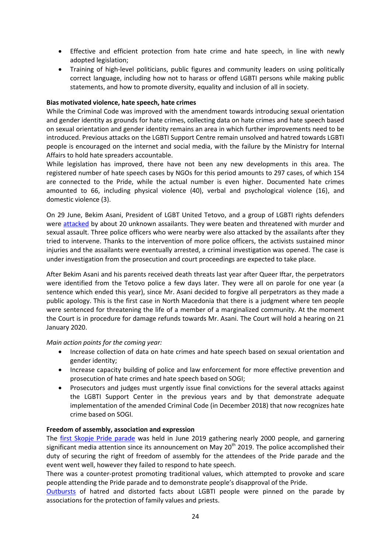- Effective and efficient protection from hate crime and hate speech, in line with newly adopted legislation;
- Training of high-level politicians, public figures and community leaders on using politically correct language, including how not to harass or offend LGBTI persons while making public statements, and how to promote diversity, equality and inclusion of all in society.

## **Bias motivated violence, hate speech, hate crimes**

While the Criminal Code was improved with the amendment towards introducing sexual orientation and gender identity as grounds for hate crimes, collecting data on hate crimes and hate speech based on sexual orientation and gender identity remains an area in which further improvements need to be introduced. Previous attacks on the LGBTI Support Centre remain unsolved and hatred towards LGBTI people is encouraged on the internet and social media, with the failure by the Ministry for Internal Affairs to hold hate spreaders accountable.

While legislation has improved, there have not been any new developments in this area. The registered number of hate speech cases by NGOs for this period amounts to 297 cases, of which 154 are connected to the Pride, while the actual number is even higher. Documented hate crimes amounted to 66, including physical violence (40), verbal and psychological violence (16), and domestic violence (3).

On 29 June, Bekim Asani, President of LGBT United Tetovo, and a group of LGBTI rights defenders were [attacked](https://www.frontlinedefenders.org/sites/default/files/ua_bekim_asani_020719_en.pdf) by about 20 unknown assailants. They were beaten and threatened with murder and sexual assault. Three police officers who were nearby were also attacked by the assailants after they tried to intervene. Thanks to the intervention of more police officers, the activists sustained minor injuries and the assailants were eventually arrested, a criminal investigation was opened. The case is under investigation from the prosecution and court proceedings are expected to take place.

After Bekim Asani and his parents received death threats last year after Queer Iftar, the perpetrators were identified from the Tetovo police a few days later. They were all on parole for one year (a sentence which ended this year), since Mr. Asani decided to forgive all perpetrators as they made a public apology. This is the first case in North Macedonia that there is a judgment where ten people were sentenced for threatening the life of a member of a marginalized community. At the moment the Court is in procedure for damage refunds towards Mr. Asani. The Court will hold a hearing on 21 January 2020.

*Main action points for the coming year:*

- Increase collection of data on hate crimes and hate speech based on sexual orientation and gender identity;
- Increase capacity building of police and law enforcement for more effective prevention and prosecution of hate crimes and hate speech based on SOGI;
- Prosecutors and judges must urgently issue final convictions for the several attacks against the LGBTI Support Center in the previous years and by that demonstrate adequate implementation of the amended Criminal Code (in December 2018) that now recognizes hate crime based on SOGI.

#### **Freedom of assembly, association and expression**

The [first Skopje Pride parade](https://www.facebook.com/notes/skopje-pride/%D0%BE%D1%81%D0%B2%D1%80%D1%82-%D0%BD%D0%B0-%D0%BF%D1%80%D0%B2%D0%B0%D1%82%D0%B0-%D0%BF%D0%B0%D1%80%D0%B0%D0%B4%D0%B0-%D0%BD%D0%B0-%D0%B3%D0%BE%D1%80%D0%B4%D0%BE%D1%81%D1%82%D0%B0-%D1%81%D0%BA%D0%BE%D0%BF%D1%98%D0%B5-%D0%BF%D1%80%D0%B0%D1%98%D0%B4-2019-%D0%BB%D0%B0%D0%BA%D0%BC%D1%83%D1%81-%D0%B7%D0%B0-%D1%86%D0%B5%D0%BB%D0%BE%D1%82%D0%BE-%D0%BE%D0%BF%D1%88%D1%82%D0%B5%D1%81%D1%82%D0%B2%D0%BE/366715600666960/) was held in June 2019 gathering nearly 2000 people, and garnering significant media attention since its announcement on May 20<sup>th</sup> 2019. The police accomplished their duty of securing the right of freedom of assembly for the attendees of the Pride parade and the event went well, however they failed to respond to hate speech.

There was a counter-protest promoting traditional values, which attempted to provoke and scare people attending the Pride parade and to demonstrate people's disapproval of the Pride.

[Outbursts](https://www.facebook.com/notes/skopje-pride/%D0%BE%D1%81%D0%B2%D1%80%D1%82-%D0%BD%D0%B0-%D0%BF%D1%80%D0%B2%D0%B0%D1%82%D0%B0-%D0%BF%D0%B0%D1%80%D0%B0%D0%B4%D0%B0-%D0%BD%D0%B0-%D0%B3%D0%BE%D1%80%D0%B4%D0%BE%D1%81%D1%82%D0%B0-%D1%81%D0%BA%D0%BE%D0%BF%D1%98%D0%B5-%D0%BF%D1%80%D0%B0%D1%98%D0%B4-2019-%D0%BB%D0%B0%D0%BA%D0%BC%D1%83%D1%81-%D0%B7%D0%B0-%D1%86%D0%B5%D0%BB%D0%BE%D1%82%D0%BE-%D0%BE%D0%BF%D1%88%D1%82%D0%B5%D1%81%D1%82%D0%B2%D0%BE/366715600666960/) of hatred and distorted facts about LGBTI people were pinned on the parade by associations for the protection of family values and priests.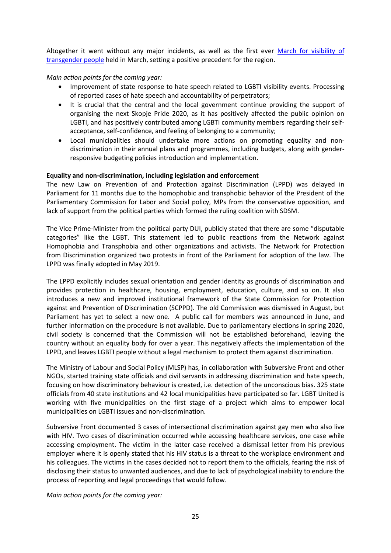Altogether it went without any major incidents, as well as the first ever March for visibility of [transgender people](https://mk.voanews.com/a/transgender-visibilty-day-macedonia/4853556.html) held in March, setting a positive precedent for the region.

## *Main action points for the coming year:*

- Improvement of state response to hate speech related to LGBTI visibility events. Processing of reported cases of hate speech and accountability of perpetrators;
- It is crucial that the central and the local government continue providing the support of organising the next Skopje Pride 2020, as it has positively affected the public opinion on LGBTI, and has positively contributed among LGBTI community members regarding their selfacceptance, self-confidence, and feeling of belonging to a community;
- Local municipalities should undertake more actions on promoting equality and nondiscrimination in their annual plans and programmes, including budgets, along with genderresponsive budgeting policies introduction and implementation.

## **Equality and non-discrimination, including legislation and enforcement**

The new Law on Prevention of and Protection against Discrimination (LPPD) was delayed in Parliament for 11 months due to the homophobic and transphobic behavior of the President of the Parliamentary Commission for Labor and Social policy, MPs from the conservative opposition, and lack of support from the political parties which formed the ruling coalition with SDSM.

The Vice Prime-Minister from the political party DUI, publicly stated that there are some "disputable categories" like the LGBT. This statement led to public reactions from the Network against Homophobia and Transphobia and other organizations and activists. The Network for Protection from Discrimination organized two protests in front of the Parliament for adoption of the law. The LPPD was finally adopted in May 2019.

The LPPD explicitly includes sexual orientation and gender identity as grounds of discrimination and provides protection in healthcare, housing, employment, education, culture, and so on. It also introduces a new and improved institutional framework of the State Commission for Protection against and Prevention of Discrimination (SCPPD). The old Commission was dismissed in August, but Parliament has yet to select a new one. A public call for members was announced in June, and further information on the procedure is not available. Due to parliamentary elections in spring 2020, civil society is concerned that the Commission will not be established beforehand, leaving the country without an equality body for over a year. This negatively affects the implementation of the LPPD, and leaves LGBTI people without a legal mechanism to protect them against discrimination.

The Ministry of Labour and Social Policy (MLSP) has, in collaboration with Subversive Front and other NGOs, started training state officials and civil servants in addressing discrimination and hate speech, focusing on how discriminatory behaviour is created, i.e. detection of the unconscious bias. 325 state officials from 40 state institutions and 42 local municipalities have participated so far. LGBT United is working with five municipalities on the first stage of a project which aims to empower local municipalities on LGBTI issues and non-discrimination.

Subversive Front documented 3 cases of intersectional discrimination against gay men who also live with HIV. Two cases of discrimination occurred while accessing healthcare services, one case while accessing employment. The victim in the latter case received a dismissal letter from his previous employer where it is openly stated that his HIV status is a threat to the workplace environment and his colleagues. The victims in the cases decided not to report them to the officials, fearing the risk of disclosing their status to unwanted audiences, and due to lack of psychological inability to endure the process of reporting and legal proceedings that would follow.

*Main action points for the coming year:*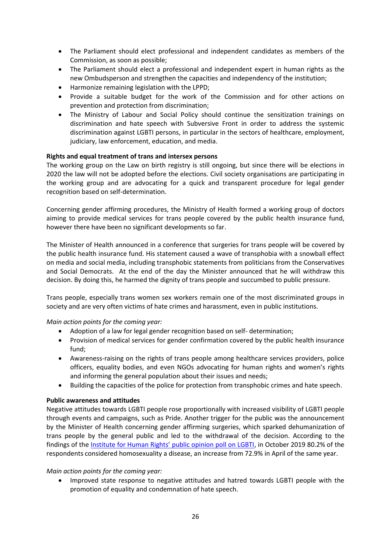- The Parliament should elect professional and independent candidates as members of the Commission, as soon as possible;
- The Parliament should elect a professional and independent expert in human rights as the new Ombudsperson and strengthen the capacities and independency of the institution;
- Harmonize remaining legislation with the LPPD;
- Provide a suitable budget for the work of the Commission and for other actions on prevention and protection from discrimination;
- The Ministry of Labour and Social Policy should continue the sensitization trainings on discrimination and hate speech with Subversive Front in order to address the systemic discrimination against LGBTI persons, in particular in the sectors of healthcare, employment, judiciary, law enforcement, education, and media.

# **Rights and equal treatment of trans and intersex persons**

The working group on the Law on birth registry is still ongoing, but since there will be elections in 2020 the law will not be adopted before the elections. Civil society organisations are participating in the working group and are advocating for a quick and transparent procedure for legal gender recognition based on self-determination.

Concerning gender affirming procedures, the Ministry of Health formed a working group of doctors aiming to provide medical services for trans people covered by the public health insurance fund, however there have been no significant developments so far.

The Minister of Health announced in a conference that surgeries for trans people will be covered by the public health insurance fund. His statement caused a wave of transphobia with a snowball effect on media and social media, including transphobic statements from politicians from the Conservatives and Social Democrats. At the end of the day the Minister announced that he will withdraw this decision. By doing this, he harmed the dignity of trans people and succumbed to public pressure.

Trans people, especially trans women sex workers remain one of the most discriminated groups in society and are very often victims of hate crimes and harassment, even in public institutions.

*Main action points for the coming year:*

- Adoption of a law for legal gender recognition based on self- determination;
- Provision of medical services for gender confirmation covered by the public health insurance fund;
- Awareness-raising on the rights of trans people among healthcare services providers, police officers, equality bodies, and even NGOs advocating for human rights and women's rights and informing the general population about their issues and needs;
- Building the capacities of the police for protection from transphobic crimes and hate speech.

#### **Public awareness and attitudes**

Negative attitudes towards LGBTI people rose proportionally with increased visibility of LGBTI people through events and campaigns, such as Pride. Another trigger for the public was the announcement by the Minister of Health concerning gender affirming surgeries, which sparked dehumanization of trans people by the general public and led to the withdrawal of the decision. According to the findings of the [Institute for Human Rights' public opinion poll on LGBTI](http://ihr.org.mk/uploads/publications_pdf/Konechen%20Izvesthaj.pdf), in October 2019 80.2% of the respondents considered homosexuality a disease, an increase from 72.9% in April of the same year.

#### *Main action points for the coming year:*

 Improved state response to negative attitudes and hatred towards LGBTI people with the promotion of equality and condemnation of hate speech.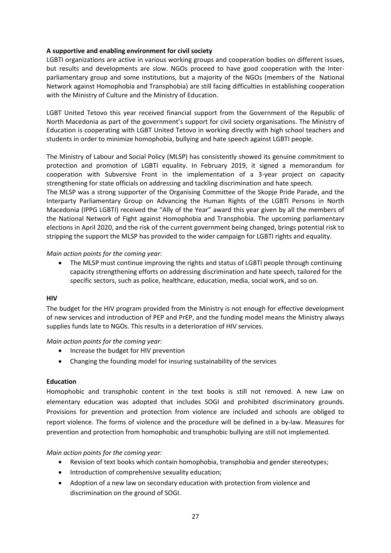## **A supportive and enabling environment for civil society**

LGBTI organizations are active in various working groups and cooperation bodies on different issues, but results and developments are slow. NGOs proceed to have good cooperation with the Interparliamentary group and some institutions, but a majority of the NGOs (members of the National Network against Homophobia and Transphobia) are still facing difficulties in establishing cooperation with the Ministry of Culture and the Ministry of Education.

LGBT United Tetovo this year received financial support from the Government of the Republic of North Macedonia as part of the government's support for civil society organisations. The Ministry of Education is cooperating with LGBT United Tetovo in working directly with high school teachers and students in order to minimize homophobia, bullying and hate speech against LGBTI people.

The Ministry of Labour and Social Policy (MLSP) has consistently showed its genuine commitment to protection and promotion of LGBTI equality. In February 2019, it signed a memorandum for cooperation with Subversive Front in the implementation of a 3-year project on capacity strengthening for state officials on addressing and tackling discrimination and hate speech.

The MLSP was a strong supporter of the Organising Committee of the Skopje Pride Parade, and the Interparty Parliamentary Group on Advancing the Human Rights of the LGBTI Persons in North Macedonia (IPPG LGBTI) received the "Ally of the Year" award this year given by all the members of the National Network of Fight against Homophobia and Transphobia. The upcoming parliamentary elections in April 2020, and the risk of the current government being changed, brings potential risk to stripping the support the MLSP has provided to the wider campaign for LGBTI rights and equality.

*Main action points for the coming year:*

 The MLSP must continue improving the rights and status of LGBTI people through continuing capacity strengthening efforts on addressing discrimination and hate speech, tailored for the specific sectors, such as police, healthcare, education, media, social work, and so on.

#### **HIV**

The budget for the HIV program provided from the Ministry is not enough for effective development of new services and introduction of PEP and PrEP, and the funding model means the Ministry always supplies funds late to NGOs. This results in a deterioration of HIV services.

#### *Main action points for the coming year:*

- Increase the budget for HIV prevention
- Changing the founding model for insuring sustainability of the services

#### **Education**

Homophobic and transphobic content in the text books is still not removed. A new Law on elementary education was adopted that includes SOGI and prohibited discriminatory grounds. Provisions for prevention and protection from violence are included and schools are obliged to report violence. The forms of violence and the procedure will be defined in a by-law. Measures for prevention and protection from homophobic and transphobic bullying are still not implemented.

#### *Main action points for the coming year:*

- Revision of text books which contain homophobia, transphobia and gender stereotypes;
- Introduction of comprehensive sexuality education;
- Adoption of a new law on secondary education with protection from violence and discrimination on the ground of SOGI.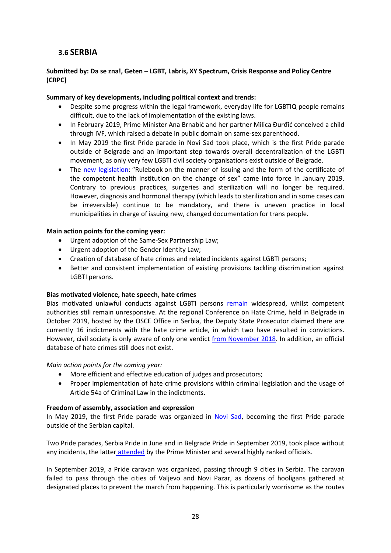# <span id="page-28-0"></span>**3.6 SERBIA**

# **Submitted by: Da se zna!, Geten – LGBT, Labris, XY Spectrum, Crisis Response and Policy Centre (CRPC)**

## **Summary of key developments, including political context and trends:**

- Despite some progress within the legal framework, everyday life for LGBTIQ people remains difficult, due to the lack of implementation of the existing laws.
- In February 2019, Prime Minister Ana Brnabić and her partner Milica Đurđić conceived a child through IVF, which raised a debate in public domain on same-sex parenthood.
- In May 2019 the first Pride parade in Novi Sad took place, which is the first Pride parade outside of Belgrade and an important step towards overall decentralization of the LGBTI movement, as only very few LGBTI civil society organisations exist outside of Belgrade.
- The [new legislation:](https://www.transserbia.org/vesti/1482-donet-pravilnik-o-nacinu-izdavanja-i-obrazcu-potvrde-nadlezne-zdravstvene-ustanove-o-promeni-pola) "Rulebook on the manner of issuing and the form of the certificate of the competent health institution on the change of sex" came into force in January 2019. Contrary to previous practices, surgeries and sterilization will no longer be required. However, diagnosis and hormonal therapy (which leads to sterilization and in some cases can be irreversible) continue to be mandatory, and there is uneven practice in local municipalities in charge of issuing new, changed documentation for trans people.

## **Main action points for the coming year:**

- Urgent adoption of the Same-Sex Partnership Law;
- Urgent adoption of the Gender Identity Law;
- Creation of database of hate crimes and related incidents against LGBTI persons;
- Better and consistent implementation of existing provisions tackling discrimination against LGBTI persons.

#### **Bias motivated violence, hate speech, hate crimes**

Bias motivated unlawful conducts against LGBTI persons [remain](https://www.danas.rs/bbc-news-serbian/nasilje-nad-lgbt-ljudima-u-srbiji-izmedju-statistike-i-stvarnosti/) widespread, whilst competent authorities still remain unresponsive. At the regional Conference on Hate Crime, held in Belgrade in October 2019, hosted by the OSCE Office in Serbia, the Deputy State Prosecutor claimed there are currently 16 indictments with the hate crime article, in which two have resulted in convictions. However, civil society is only aware of only one verdict [from November 2018.](https://www.lgbti-era.org/news/criminal-verdict-hate-crime-reached-first-time-serbia) In addition, an official database of hate crimes still does not exist.

#### *Main action points for the coming year:*

- More efficient and effective education of judges and prosecutors;
- Proper implementation of hate crime provisions within criminal legislation and the usage of Article 54a of Criminal Law in the indictments.

#### **Freedom of assembly, association and expression**

In May 2019, the first Pride parade was organized in [Novi Sad,](https://www.rferl.org/a/serbia-s-novi-sad-first-gay-pride-rally/29947398.html) becoming the first Pride parade outside of the Serbian capital.

Two Pride parades, Serbia Pride in June and in Belgrade Pride in September 2019, took place without any incidents, the latter [attended](https://www.rferl.org/a/serbia-belgrade-lgbt-pride-parade/30165481.html) by the Prime Minister and several highly ranked officials.

In September 2019, a Pride caravan was organized, passing through 9 cities in Serbia. The caravan failed to pass through the cities of Valjevo and Novi Pazar, as dozens of hooligans gathered at designated places to prevent the march from happening. This is particularly worrisome as the routes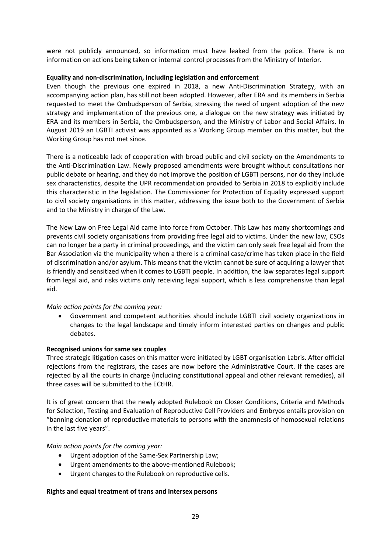were not publicly announced, so information must have leaked from the police. There is no information on actions being taken or internal control processes from the Ministry of Interior.

#### **Equality and non-discrimination, including legislation and enforcement**

Even though the previous one expired in 2018, a new Anti-Discrimination Strategy, with an accompanying action plan, has still not been adopted. However, after ERA and its members in Serbia requested to meet the Ombudsperson of Serbia, stressing the need of urgent adoption of the new strategy and implementation of the previous one, a dialogue on the new strategy was initiated by ERA and its members in Serbia, the Ombudsperson, and the Ministry of Labor and Social Affairs. In August 2019 an LGBTI activist was appointed as a Working Group member on this matter, but the Working Group has not met since.

There is a noticeable lack of cooperation with broad public and civil society on the Amendments to the Anti-Discrimination Law. Newly proposed amendments were brought without consultations nor public debate or hearing, and they do not improve the position of LGBTI persons, nor do they include sex characteristics, despite the UPR recommendation provided to Serbia in 2018 to explicitly include this characteristic in the legislation. The Commissioner for Protection of Equality expressed support to civil society organisations in this matter, addressing the issue both to the Government of Serbia and to the Ministry in charge of the Law.

The New Law on Free Legal Aid came into force from October. This Law has many shortcomings and prevents civil society organisations from providing free legal aid to victims. Under the new law, CSOs can no longer be a party in criminal proceedings, and the victim can only seek free legal aid from the Bar Association via the municipality when a there is a criminal case/crime has taken place in the field of discrimination and/or asylum. This means that the victim cannot be sure of acquiring a lawyer that is friendly and sensitized when it comes to LGBTI people. In addition, the law separates legal support from legal aid, and risks victims only receiving legal support, which is less comprehensive than legal aid.

#### *Main action points for the coming year:*

 Government and competent authorities should include LGBTI civil society organizations in changes to the legal landscape and timely inform interested parties on changes and public debates.

#### **Recognised unions for same sex couples**

Three strategic litigation cases on this matter were initiated by LGBT organisation Labris. After official rejections from the registrars, the cases are now before the Administrative Court. If the cases are rejected by all the courts in charge (including constitutional appeal and other relevant remedies), all three cases will be submitted to the ECtHR.

It is of great concern that the newly adopted Rulebook on Closer Conditions, Criteria and Methods for Selection, Testing and Evaluation of Reproductive Cell Providers and Embryos entails provision on "banning donation of reproductive materials to persons with the anamnesis of homosexual relations in the last five years".

#### *Main action points for the coming year:*

- Urgent adoption of the Same-Sex Partnership Law;
- Urgent amendments to the above-mentioned Rulebook;
- Urgent changes to the Rulebook on reproductive cells.

#### **Rights and equal treatment of trans and intersex persons**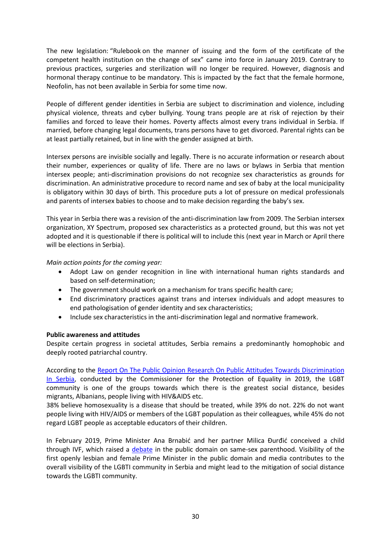The new legislation: "Rulebook on the manner of issuing and the form of the certificate of the competent health institution on the change of sex" came into force in January 2019. Contrary to previous practices, surgeries and sterilization will no longer be required. However, diagnosis and hormonal therapy continue to be mandatory. This is impacted by the fact that the female hormone, Neofolin, has not been available in Serbia for some time now.

People of different gender identities in Serbia are subject to discrimination and violence, including physical violence, threats and cyber bullying. Young trans people are at risk of rejection by their families and forced to leave their homes. Poverty affects almost every trans individual in Serbia. If married, before changing legal documents, trans persons have to get divorced. Parental rights can be at least partially retained, but in line with the gender assigned at birth.

Intersex persons are invisible socially and legally. There is no accurate information or research about their number, experiences or quality of life. There are no laws or bylaws in Serbia that mention intersex people; anti-discrimination provisions do not recognize sex characteristics as grounds for discrimination. An administrative procedure to record name and sex of baby at the local municipality is obligatory within 30 days of birth. This procedure puts a lot of pressure on medical professionals and parents of intersex babies to choose and to make decision regarding the baby's sex.

This year in Serbia there was a revision of the anti-discrimination law from 2009. The Serbian intersex organization, XY Spectrum, proposed sex characteristics as a protected ground, but this was not yet adopted and it is questionable if there is political will to include this (next year in March or April there will be elections in Serbia).

*Main action points for the coming year:*

- Adopt Law on gender recognition in line with international human rights standards and based on self-determination;
- The government should work on a mechanism for trans specific health care;
- End discriminatory practices against trans and intersex individuals and adopt measures to end pathologisation of gender identity and sex characteristics;
- Include sex characteristics in the anti-discrimination legal and normative framework.

#### **Public awareness and attitudes**

Despite certain progress in societal attitudes, Serbia remains a predominantly homophobic and deeply rooted patriarchal country.

According to the Report On The Public Opinion Rеsearch On Public [Attitudes Towards Discrimination](http://ravnopravnost-5bcf.kxcdn.com/wp-content/uploads/2019/11/izvestaj-o-istrazivanju-javnog-mnjenja.pdf)  [In Serbia,](http://ravnopravnost-5bcf.kxcdn.com/wp-content/uploads/2019/11/izvestaj-o-istrazivanju-javnog-mnjenja.pdf) conducted by the Commissioner for the Protection of Equality in 2019, the LGBT community is one of the groups towards which there is the greatest social distance, besides migrants, Albanians, people living with HIV&AIDS etc.

38% believe homosexuality is a disease that should be treated, while 39% do not. 22% do not want people living with HIV/AIDS or members of the LGBT population as their colleagues, while 45% do not regard LGBT people as acceptable educators of their children.

In February 2019, Prime Minister Ana Brnabić and her partner Milica Đurđić conceived a child through IVF, which raised a [debate](https://www.lgbti-era.org/news/serbian-prime-minister-has-done-nothing-protect-herself-discrimination) in the public domain on same-sex parenthood. Visibility of the first openly lesbian and female Prime Minister in the public domain and media contributes to the overall visibility of the LGBTI community in Serbia and might lead to the mitigation of social distance towards the LGBTI community.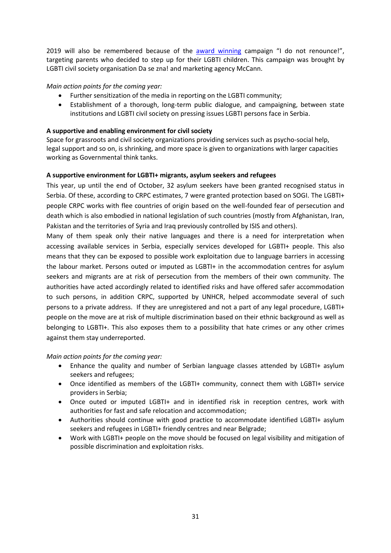2019 will also be remembered because of the [award winning](https://biznis.telegraf.rs/info-biz/3113665-sa-genijalnom-kampanjom-ne-odricem-se-agencija-mccann-najuspesnija-na-festivalu-golden-drum) campaign "I do not renounce!", targeting parents who decided to step up for their LGBTI children. This campaign was brought by LGBTI civil society organisation Da se zna! and marketing agency McCann.

## *Main action points for the coming year:*

- Further sensitization of the media in reporting on the LGBTI community;
- Establishment of a thorough, long-term public dialogue, and campaigning, between state institutions and LGBTI civil society on pressing issues LGBTI persons face in Serbia.

## **A supportive and enabling environment for civil society**

Space for grassroots and civil society organizations providing services such as psycho-social help, legal support and so on, is shrinking, and more space is given to organizations with larger capacities working as Governmental think tanks.

## **A supportive environment for LGBTI+ migrants, asylum seekers and refugees**

This year, up until the end of October, 32 asylum seekers have been granted recognised status in Serbia. Of these, according to CRPC estimates, 7 were granted protection based on SOGI. The LGBTI+ people CRPC works with flee countries of origin based on the well-founded fear of persecution and death which is also embodied in national legislation of such countries (mostly from Afghanistan, Iran, Pakistan and the territories of Syria and Iraq previously controlled by ISIS and others).

Many of them speak only their native languages and there is a need for interpretation when accessing available services in Serbia, especially services developed for LGBTI+ people. This also means that they can be exposed to possible work exploitation due to language barriers in accessing the labour market. Persons outed or imputed as LGBTI+ in the accommodation centres for asylum seekers and migrants are at risk of persecution from the members of their own community. The authorities have acted accordingly related to identified risks and have offered safer accommodation to such persons, in addition CRPC, supported by UNHCR, helped accommodate several of such persons to a private address. If they are unregistered and not a part of any legal procedure, LGBTI+ people on the move are at risk of multiple discrimination based on their ethnic background as well as belonging to LGBTI+. This also exposes them to a possibility that hate crimes or any other crimes against them stay underreported.

*Main action points for the coming year:*

- Enhance the quality and number of Serbian language classes attended by LGBTI+ asylum seekers and refugees;
- Once identified as members of the LGBTI+ community, connect them with LGBTI+ service providers in Serbia;
- Once outed or imputed LGBTI+ and in identified risk in reception centres, work with authorities for fast and safe relocation and accommodation;
- Authorities should continue with good practice to accommodate identified LGBTI+ asylum seekers and refugees in LGBTI+ friendly centres and near Belgrade;
- Work with LGBTI+ people on the move should be focused on legal visibility and mitigation of possible discrimination and exploitation risks.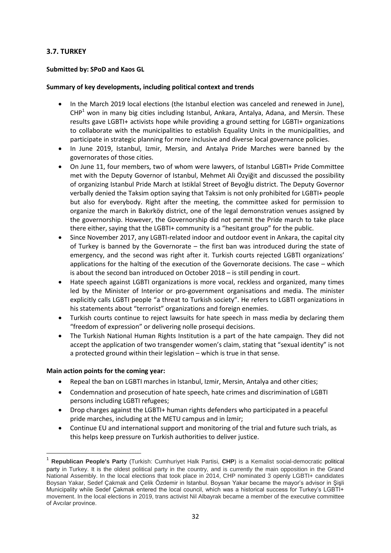# <span id="page-32-0"></span>**3.7. TURKEY**

## **Submitted by: SPoD and Kaos GL**

### **Summary of key developments, including political context and trends**

- In the March 2019 local elections (the Istanbul election was canceled and renewed in June),  $CHP<sup>1</sup>$  won in many big cities including Istanbul, Ankara, Antalya, Adana, and Mersin. These results gave LGBTI+ activists hope while providing a ground setting for LGBTI+ organizations to collaborate with the municipalities to establish Equality Units in the municipalities, and participate in strategic planning for more inclusive and diverse local governance policies.
- In June 2019, Istanbul, Izmir, Mersin, and Antalya Pride Marches were banned by the governorates of those cities.
- On June 11, four members, two of whom were lawyers, of Istanbul LGBTI+ Pride Committee met with the Deputy Governor of Istanbul, Mehmet Ali Özyiğit and discussed the possibility of organizing Istanbul Pride March at Istiklal Street of Beyoğlu district. The Deputy Governor verbally denied the Taksim option saying that Taksim is not only prohibited for LGBTI+ people but also for everybody. Right after the meeting, the committee asked for permission to organize the march in Bakırköy district, one of the legal demonstration venues assigned by the governorship. However, the Governorship did not permit the Pride march to take place there either, saying that the LGBTI+ community is a "hesitant group" for the public.
- Since November 2017, any LGBTI-related indoor and outdoor event in Ankara, the capital city of Turkey is banned by the Governorate – the first ban was introduced during the state of emergency, and the second was right after it. Turkish courts rejected LGBTI organizations' applications for the halting of the execution of the Governorate decisions. The case – which is about the second ban introduced on October 2018 – is still pending in court.
- Hate speech against LGBTI organizations is more vocal, reckless and organized, many times led by the Minister of Interior or pro-government organisations and media. The minister explicitly calls LGBTI people "a threat to Turkish society". He refers to LGBTI organizations in his statements about "terrorist" organizations and foreign enemies.
- Turkish courts continue to reject lawsuits for hate speech in mass media by declaring them "freedom of expression" or delivering nolle prosequi decisions.
- The Turkish National Human Rights Institution is a part of the hate campaign. They did not accept the application of two transgender women's claim, stating that "sexual identity" is not a protected ground within their legislation – which is true in that sense.

#### **Main action points for the coming year:**

**.** 

- Repeal the ban on LGBTI marches in Istanbul, Izmir, Mersin, Antalya and other cities;
- Condemnation and prosecution of hate speech, hate crimes and discrimination of LGBTI persons including LGBTI refugees;
- Drop charges against the LGBTI+ human rights defenders who participated in a peaceful pride marches, including at the METU campus and in İzmir;
- Continue EU and international support and monitoring of the trial and future such trials, as this helps keep pressure on Turkish authorities to deliver justice.

<sup>1</sup> **Republican People's Party** (Turkish: Cumhuriyet Halk Partisi, **CHP**) is a Kemalist social-democratic political party in Turkey. It is the oldest political party in the country, and is currently the main opposition in the Grand National Assembly. In the local elections that took place in 2014, CHP nominated 3 openly LGBTI+ candidates Boysan Yakar, Sedef Çakmak and Çelik Özdemir in Istanbul. Boysan Yakar became the mayor's advisor in Şişli Municipality while Sedef Çakmak entered the local council, which was a historical success for Turkey's LGBTI+ movement. In the local elections in 2019, trans activist Nil Albayrak became a member of the executive committee of Avcılar province.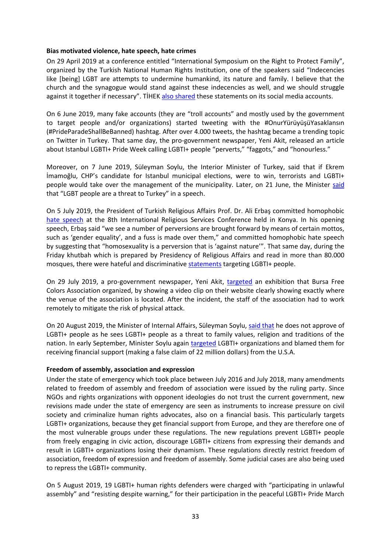#### **Bias motivated violence, hate speech, hate crimes**

On 29 April 2019 at a conference entitled "International Symposium on the Right to Protect Family", organized by the Turkish National Human Rights Institution, one of the speakers said "Indecencies like [being] LGBT are attempts to undermine humankind, its nature and family. I believe that the church and the synagogue would stand against these indecencies as well, and we should struggle against it together if necessary". TİHEK [also shared](https://www.kaosgl.org/en/single-news/hatred-at-tihek-symposium-indecencies-such-as-being-lgbt) these statements on its social media accounts.

On 6 June 2019, many fake accounts (they are "troll accounts" and mostly used by the government to target people and/or organizations) started tweeting with the #OnurYürüyüşüYasaklansın (#PrideParadeShallBeBanned) hashtag. After over 4.000 tweets, the hashtag became a trending topic on Twitter in Turkey. That same day, the pro-government newspaper, Yeni Akit, released an article about Istanbul LGBTI+ Pride Week calling LGBTI+ people "perverts," "faggots," and "honourless."

Moreover, on 7 June 2019, Süleyman Soylu, the Interior Minister of Turkey, said that if Ekrem İmamoğlu, CHP's candidate for Istanbul municipal elections, were to win, terrorists and LGBTI+ people would take over the management of the municipality. Later, on 21 June, the Minister [said](https://www.birgun.net/haber/soylu-kaftancioglu-nu-hedef-aldi-258099) that "LGBT people are a threat to Turkey" in a speech.

On 5 July 2019, the President of Turkish Religious Affairs Prof. Dr. Ali Erbaş committed homophobic [hate speech](https://kaosgl.org/page.php?id=28479) at the 8th International Religious Services Conference held in Konya. In his opening speech, Erbaş said "we see a number of perversions are brought forward by means of certain mottos, such as 'gender equality', and a fuss is made over them," and committed homophobic hate speech by suggesting that "homosexuality is a perversion that is 'against nature'". That same day, during the Friday khutbah which is prepared by Presidency of Religious Affairs and read in more than 80.000 mosques, there were hateful and discriminative [statements](https://www.kaosgl.org/en/single-news/turkish-religious-affairs-targeted-lgbtis-in-friday-khutbah) targeting LGBTI+ people.

On 29 July 2019, a pro-government newspaper, Yeni Akit, [targeted](https://www.kaosgl.org/sayfa.php?id=28566) an exhibition that Bursa Free Colors Association organized, by showing a video clip on their website clearly showing exactly where the venue of the association is located. After the incident, the staff of the association had to work remotely to mitigate the risk of physical attack.

On 20 August 2019, the Minister of Internal Affairs, Süleyman Soylu[, said that](https://kaosgl.org/sayfa.php?id=28652) he does not approve of LGBTI+ people as he sees LGBTI+ people as a threat to family values, religion and traditions of the nation. In early September, Minister Soylu again [targeted](https://t24.com.tr/amp/haber/soylu-amerika-ankara-da-lgbt-ye-22-milyon-dolar-yardim-yapiyor,837850) LGBTI+ organizations and blamed them for receiving financial support (making a false claim of 22 million dollars) from the U.S.A.

#### **Freedom of assembly, association and expression**

Under the state of emergency which took place between July 2016 and July 2018, many amendments related to freedom of assembly and freedom of association were issued by the ruling party. Since NGOs and rights organizations with opponent ideologies do not trust the current government, new revisions made under the state of emergency are seen as instruments to increase pressure on civil society and criminalize human rights advocates, also on a financial basis. This particularly targets LGBTI+ organizations, because they get financial support from Europe, and they are therefore one of the most vulnerable groups under these regulations. The new regulations prevent LGBTI+ people from freely engaging in civic action, discourage LGBTI+ citizens from expressing their demands and result in LGBTI+ organizations losing their dynamism. These regulations directly restrict freedom of association, freedom of expression and freedom of assembly. Some judicial cases are also being used to repress the LGBTI+ community.

On 5 August 2019, 19 LGBTI+ human rights defenders were charged with "participating in unlawful assembly" and "resisting despite warning," for their participation in the peaceful LGBTI+ Pride March